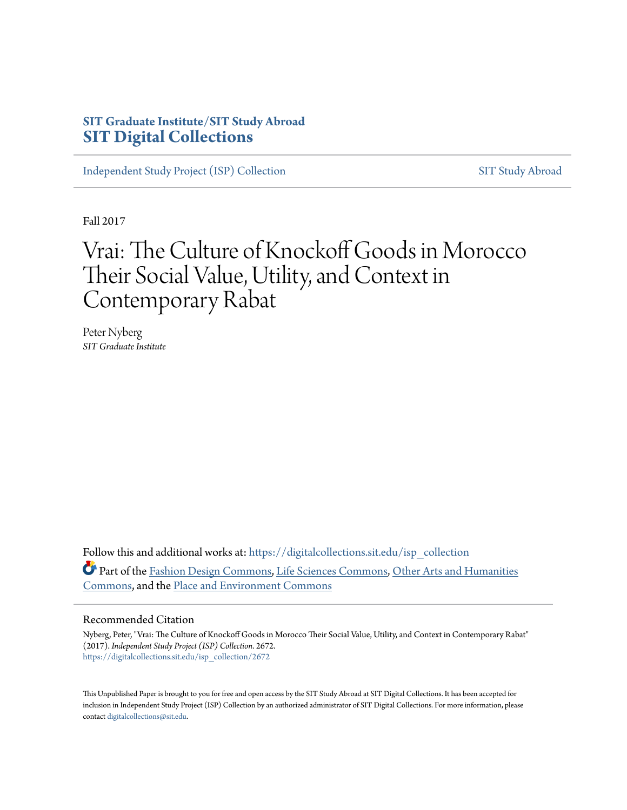## **SIT Graduate Institute/SIT Study Abroad [SIT Digital Collections](https://digitalcollections.sit.edu?utm_source=digitalcollections.sit.edu%2Fisp_collection%2F2672&utm_medium=PDF&utm_campaign=PDFCoverPages)**

[Independent Study Project \(ISP\) Collection](https://digitalcollections.sit.edu/isp_collection?utm_source=digitalcollections.sit.edu%2Fisp_collection%2F2672&utm_medium=PDF&utm_campaign=PDFCoverPages) [SIT Study Abroad](https://digitalcollections.sit.edu/study_abroad?utm_source=digitalcollections.sit.edu%2Fisp_collection%2F2672&utm_medium=PDF&utm_campaign=PDFCoverPages)

Fall 2017

# Vrai: The Culture of Knockoff Goods in Morocco Their Social Value, Utility, and Context in Contemporary Rabat

Peter Nyberg *SIT Graduate Institute*

Follow this and additional works at: [https://digitalcollections.sit.edu/isp\\_collection](https://digitalcollections.sit.edu/isp_collection?utm_source=digitalcollections.sit.edu%2Fisp_collection%2F2672&utm_medium=PDF&utm_campaign=PDFCoverPages) Part of the [Fashion Design Commons](http://network.bepress.com/hgg/discipline/1132?utm_source=digitalcollections.sit.edu%2Fisp_collection%2F2672&utm_medium=PDF&utm_campaign=PDFCoverPages), [Life Sciences Commons,](http://network.bepress.com/hgg/discipline/1016?utm_source=digitalcollections.sit.edu%2Fisp_collection%2F2672&utm_medium=PDF&utm_campaign=PDFCoverPages) [Other Arts and Humanities](http://network.bepress.com/hgg/discipline/577?utm_source=digitalcollections.sit.edu%2Fisp_collection%2F2672&utm_medium=PDF&utm_campaign=PDFCoverPages) [Commons,](http://network.bepress.com/hgg/discipline/577?utm_source=digitalcollections.sit.edu%2Fisp_collection%2F2672&utm_medium=PDF&utm_campaign=PDFCoverPages) and the [Place and Environment Commons](http://network.bepress.com/hgg/discipline/424?utm_source=digitalcollections.sit.edu%2Fisp_collection%2F2672&utm_medium=PDF&utm_campaign=PDFCoverPages)

#### Recommended Citation

Nyberg, Peter, "Vrai: The Culture of Knockoff Goods in Morocco Their Social Value, Utility, and Context in Contemporary Rabat" (2017). *Independent Study Project (ISP) Collection*. 2672. [https://digitalcollections.sit.edu/isp\\_collection/2672](https://digitalcollections.sit.edu/isp_collection/2672?utm_source=digitalcollections.sit.edu%2Fisp_collection%2F2672&utm_medium=PDF&utm_campaign=PDFCoverPages)

This Unpublished Paper is brought to you for free and open access by the SIT Study Abroad at SIT Digital Collections. It has been accepted for inclusion in Independent Study Project (ISP) Collection by an authorized administrator of SIT Digital Collections. For more information, please contact [digitalcollections@sit.edu](mailto:digitalcollections@sit.edu).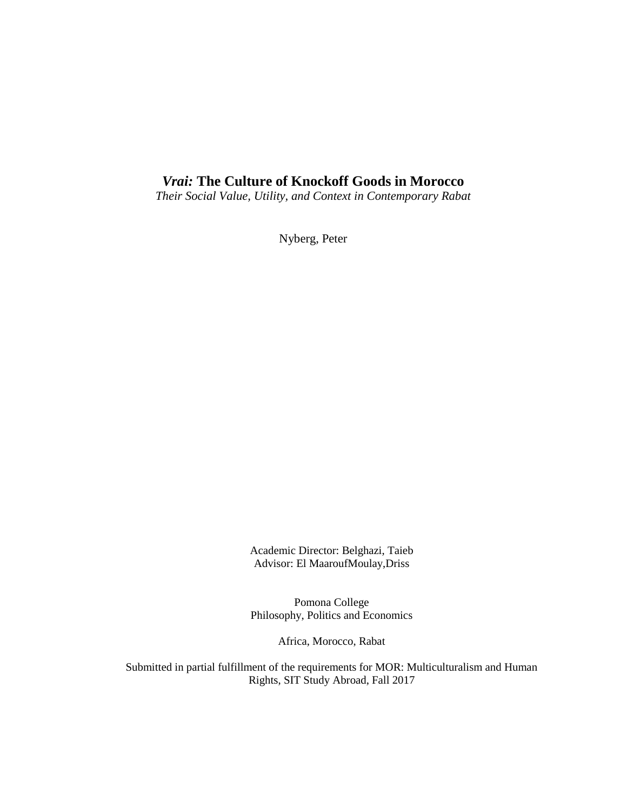## *Vrai:* **The Culture of Knockoff Goods in Morocco**

*Their Social Value, Utility, and Context in Contemporary Rabat*

Nyberg, Peter

Academic Director: Belghazi, Taieb Advisor: El MaaroufMoulay,Driss

Pomona College Philosophy, Politics and Economics

Africa, Morocco, Rabat

Submitted in partial fulfillment of the requirements for MOR: Multiculturalism and Human Rights, SIT Study Abroad, Fall 2017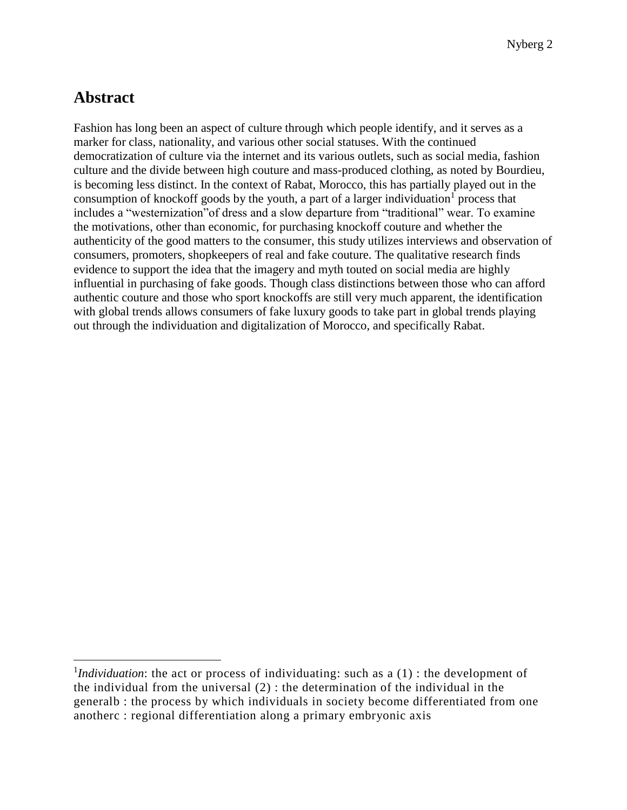# **Abstract**

 $\overline{a}$ 

Fashion has long been an aspect of culture through which people identify, and it serves as a marker for class, nationality, and various other social statuses. With the continued democratization of culture via the internet and its various outlets, such as social media, fashion culture and the divide between high couture and mass-produced clothing, as noted by Bourdieu, is becoming less distinct. In the context of Rabat, Morocco, this has partially played out in the consumption of knockoff goods by the youth, a part of a larger individuation  $\overline{I}$  process that includes a "westernization"of dress and a slow departure from "traditional" wear. To examine the motivations, other than economic, for purchasing knockoff couture and whether the authenticity of the good matters to the consumer, this study utilizes interviews and observation of consumers, promoters, shopkeepers of real and fake couture. The qualitative research finds evidence to support the idea that the imagery and myth touted on social media are highly influential in purchasing of fake goods. Though class distinctions between those who can afford authentic couture and those who sport knockoffs are still very much apparent, the identification with global trends allows consumers of fake luxury goods to take part in global trends playing out through the individuation and digitalization of Morocco, and specifically Rabat.

<sup>&</sup>lt;sup>1</sup>*Individuation*: the act or process of [individuating:](https://www.merriam-webster.com/dictionary/individuating) such as a (1) : the development of the [individual](https://www.merriam-webster.com/dictionary/individual) from the universal (2) : the determination of the individual in the generalb : the process by which [individuals](https://www.merriam-webster.com/dictionary/individuals) in society become differentiated from one anotherc : regional differentiation along a primary embryonic axis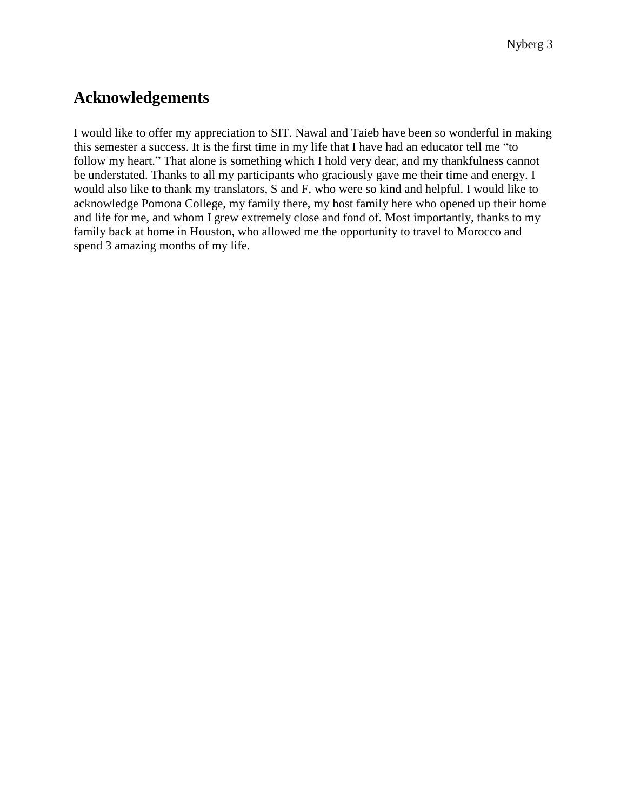# **Acknowledgements**

I would like to offer my appreciation to SIT. Nawal and Taieb have been so wonderful in making this semester a success. It is the first time in my life that I have had an educator tell me "to follow my heart." That alone is something which I hold very dear, and my thankfulness cannot be understated. Thanks to all my participants who graciously gave me their time and energy. I would also like to thank my translators, S and F, who were so kind and helpful. I would like to acknowledge Pomona College, my family there, my host family here who opened up their home and life for me, and whom I grew extremely close and fond of. Most importantly, thanks to my family back at home in Houston, who allowed me the opportunity to travel to Morocco and spend 3 amazing months of my life.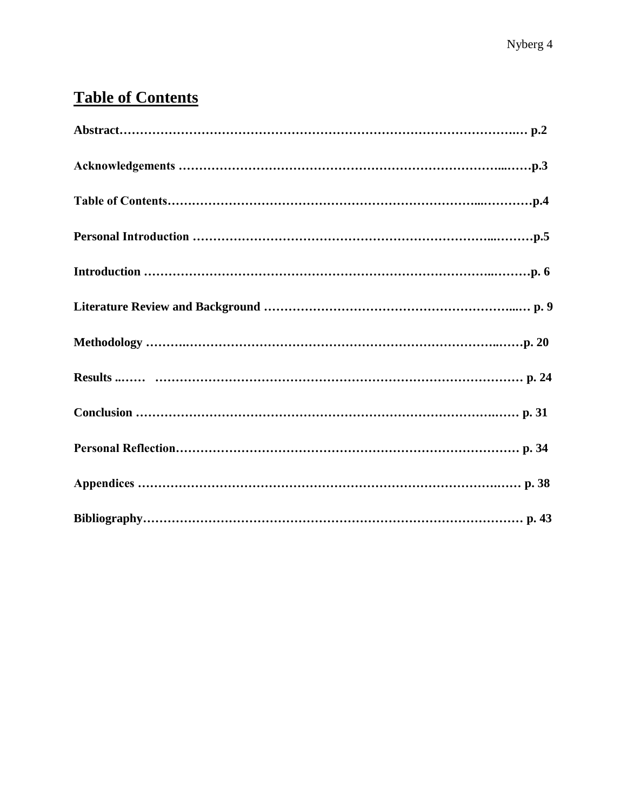# **Table of Contents**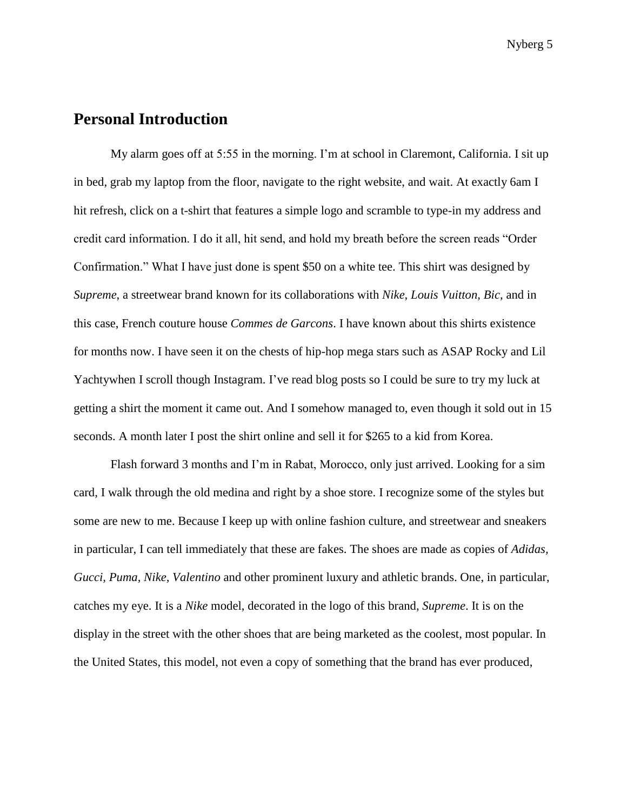### **Personal Introduction**

My alarm goes off at 5:55 in the morning. I'm at school in Claremont, California. I sit up in bed, grab my laptop from the floor, navigate to the right website, and wait. At exactly 6am I hit refresh, click on a t-shirt that features a simple logo and scramble to type-in my address and credit card information. I do it all, hit send, and hold my breath before the screen reads "Order Confirmation." What I have just done is spent \$50 on a white tee. This shirt was designed by *Supreme*, a streetwear brand known for its collaborations with *Nike, Louis Vuitton, Bic*, and in this case, French couture house *Commes de Garcons*. I have known about this shirts existence for months now. I have seen it on the chests of hip-hop mega stars such as ASAP Rocky and Lil Yachtywhen I scroll though Instagram. I've read blog posts so I could be sure to try my luck at getting a shirt the moment it came out. And I somehow managed to, even though it sold out in 15 seconds. A month later I post the shirt online and sell it for \$265 to a kid from Korea.

Flash forward 3 months and I'm in Rabat, Morocco, only just arrived. Looking for a sim card, I walk through the old medina and right by a shoe store. I recognize some of the styles but some are new to me. Because I keep up with online fashion culture, and streetwear and sneakers in particular, I can tell immediately that these are fakes. The shoes are made as copies of *Adidas, Gucci, Puma, Nike, Valentino* and other prominent luxury and athletic brands. One, in particular, catches my eye. It is a *Nike* model, decorated in the logo of this brand, *Supreme*. It is on the display in the street with the other shoes that are being marketed as the coolest, most popular. In the United States, this model, not even a copy of something that the brand has ever produced,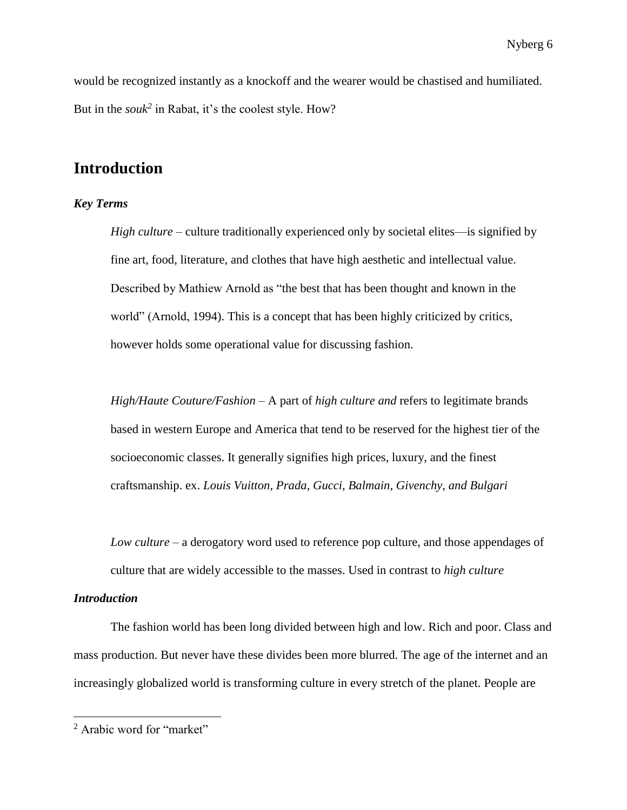would be recognized instantly as a knockoff and the wearer would be chastised and humiliated. But in the *souk<sup>2</sup>* in Rabat, it's the coolest style. How?

## **Introduction**

#### *Key Terms*

*High culture* – culture traditionally experienced only by societal elites—is signified by fine art, food, literature, and clothes that have high aesthetic and intellectual value. Described by Mathiew Arnold as "the best that has been thought and known in the world" (Arnold, 1994). This is a concept that has been highly criticized by critics, however holds some operational value for discussing fashion.

*High/Haute Couture/Fashion* – A part of *high culture and* refers to legitimate brands based in western Europe and America that tend to be reserved for the highest tier of the socioeconomic classes. It generally signifies high prices, luxury, and the finest craftsmanship. ex. *Louis Vuitton, Prada, Gucci, Balmain, Givenchy, and Bulgari*

*Low culture* – a derogatory word used to reference pop culture, and those appendages of culture that are widely accessible to the masses. Used in contrast to *high culture*

#### *Introduction*

 $\overline{a}$ 

The fashion world has been long divided between high and low. Rich and poor. Class and mass production. But never have these divides been more blurred. The age of the internet and an increasingly globalized world is transforming culture in every stretch of the planet. People are

<sup>&</sup>lt;sup>2</sup> Arabic word for "market"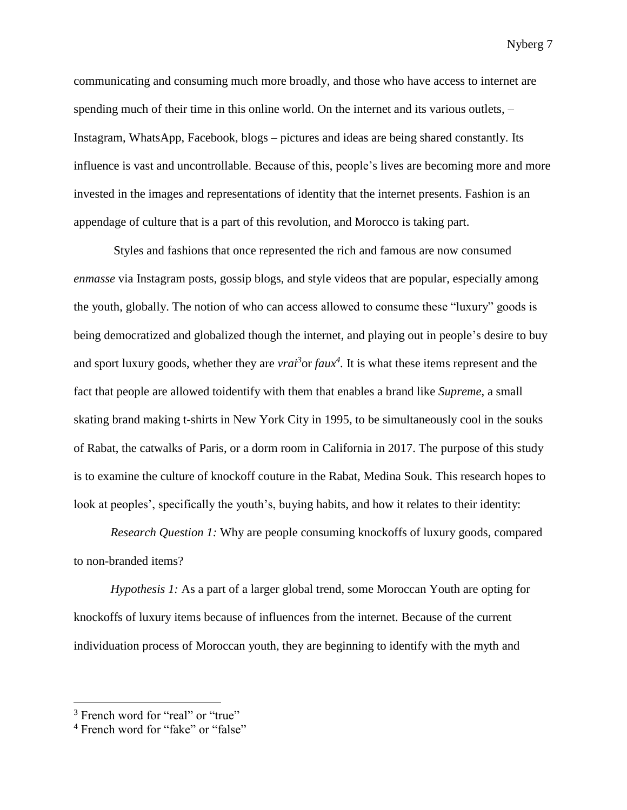communicating and consuming much more broadly, and those who have access to internet are spending much of their time in this online world. On the internet and its various outlets, – Instagram, WhatsApp, Facebook, blogs – pictures and ideas are being shared constantly. Its influence is vast and uncontrollable. Because of this, people's lives are becoming more and more invested in the images and representations of identity that the internet presents. Fashion is an appendage of culture that is a part of this revolution, and Morocco is taking part.

Styles and fashions that once represented the rich and famous are now consumed *enmasse* via Instagram posts, gossip blogs, and style videos that are popular, especially among the youth, globally. The notion of who can access allowed to consume these "luxury" goods is being democratized and globalized though the internet, and playing out in people's desire to buy and sport luxury goods, whether they are *vrai*<sup>3</sup> or *faux*<sup>4</sup>. It is what these items represent and the fact that people are allowed toidentify with them that enables a brand like *Supreme*, a small skating brand making t-shirts in New York City in 1995, to be simultaneously cool in the souks of Rabat, the catwalks of Paris, or a dorm room in California in 2017. The purpose of this study is to examine the culture of knockoff couture in the Rabat, Medina Souk. This research hopes to look at peoples', specifically the youth's, buying habits, and how it relates to their identity:

*Research Question 1:* Why are people consuming knockoffs of luxury goods, compared to non-branded items?

*Hypothesis 1:* As a part of a larger global trend, some Moroccan Youth are opting for knockoffs of luxury items because of influences from the internet. Because of the current individuation process of Moroccan youth, they are beginning to identify with the myth and

 $\overline{a}$ 

<sup>&</sup>lt;sup>3</sup> French word for "real" or "true"

<sup>4</sup> French word for "fake" or "false"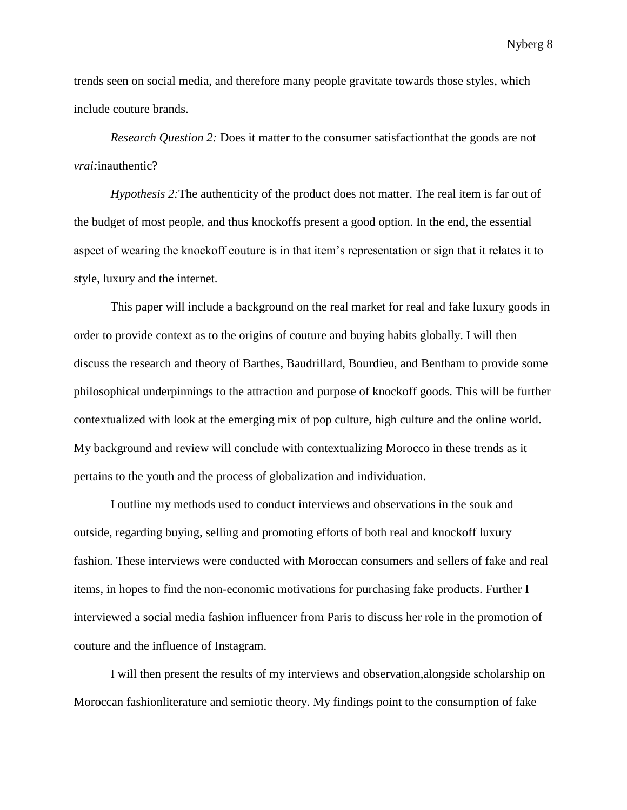trends seen on social media, and therefore many people gravitate towards those styles, which include couture brands.

*Research Question 2:* Does it matter to the consumer satisfactionthat the goods are not *vrai:*inauthentic?

*Hypothesis 2:*The authenticity of the product does not matter. The real item is far out of the budget of most people, and thus knockoffs present a good option. In the end, the essential aspect of wearing the knockoff couture is in that item's representation or sign that it relates it to style, luxury and the internet.

This paper will include a background on the real market for real and fake luxury goods in order to provide context as to the origins of couture and buying habits globally. I will then discuss the research and theory of Barthes, Baudrillard, Bourdieu, and Bentham to provide some philosophical underpinnings to the attraction and purpose of knockoff goods. This will be further contextualized with look at the emerging mix of pop culture, high culture and the online world. My background and review will conclude with contextualizing Morocco in these trends as it pertains to the youth and the process of globalization and individuation.

I outline my methods used to conduct interviews and observations in the souk and outside, regarding buying, selling and promoting efforts of both real and knockoff luxury fashion. These interviews were conducted with Moroccan consumers and sellers of fake and real items, in hopes to find the non-economic motivations for purchasing fake products. Further I interviewed a social media fashion influencer from Paris to discuss her role in the promotion of couture and the influence of Instagram.

I will then present the results of my interviews and observation,alongside scholarship on Moroccan fashionliterature and semiotic theory. My findings point to the consumption of fake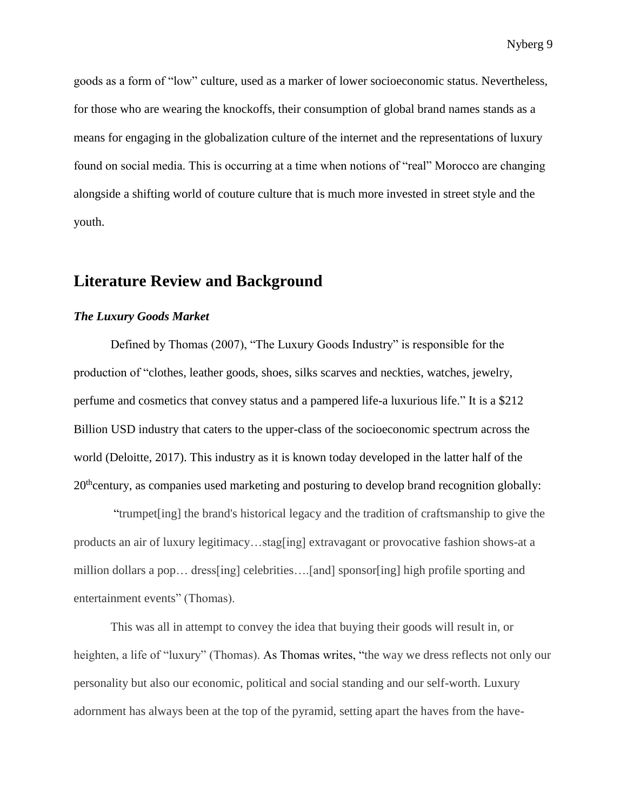goods as a form of "low" culture, used as a marker of lower socioeconomic status. Nevertheless, for those who are wearing the knockoffs, their consumption of global brand names stands as a means for engaging in the globalization culture of the internet and the representations of luxury found on social media. This is occurring at a time when notions of "real" Morocco are changing alongside a shifting world of couture culture that is much more invested in street style and the youth.

### **Literature Review and Background**

#### *The Luxury Goods Market*

Defined by Thomas (2007), "The Luxury Goods Industry" is responsible for the production of "clothes, leather goods, shoes, silks scarves and neckties, watches, jewelry, perfume and cosmetics that convey status and a pampered life-a luxurious life." It is a \$212 Billion USD industry that caters to the upper-class of the socioeconomic spectrum across the world (Deloitte, 2017). This industry as it is known today developed in the latter half of the  $20<sup>th</sup>$ century, as companies used marketing and posturing to develop brand recognition globally:

"trumpet[ing] the brand's historical legacy and the tradition of craftsmanship to give the products an air of luxury legitimacy…stag[ing] extravagant or provocative fashion shows-at a million dollars a pop… dress[ing] celebrities….[and] sponsor[ing] high profile sporting and entertainment events" (Thomas).

This was all in attempt to convey the idea that buying their goods will result in, or heighten, a life of "luxury" (Thomas). As Thomas writes, "the way we dress reflects not only our personality but also our economic, political and social standing and our self-worth. Luxury adornment has always been at the top of the pyramid, setting apart the haves from the have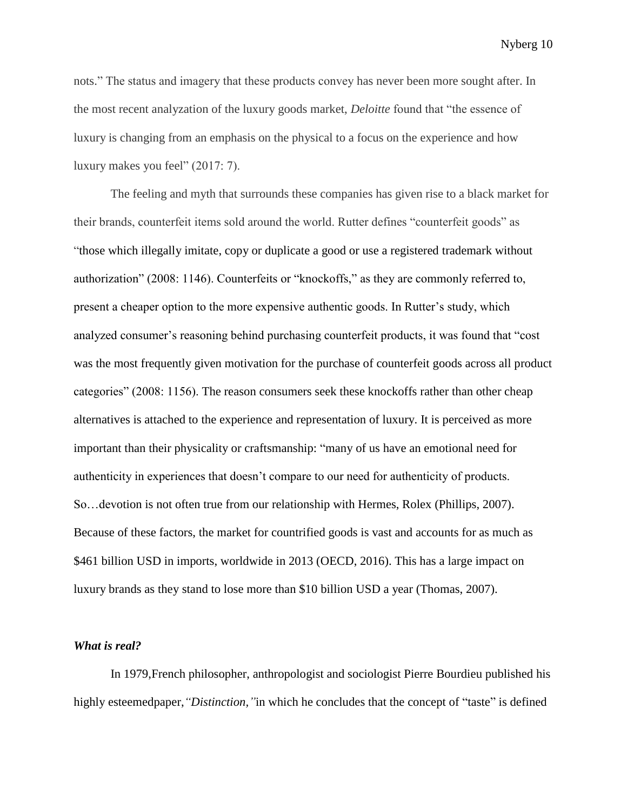nots." The status and imagery that these products convey has never been more sought after. In the most recent analyzation of the luxury goods market, *Deloitte* found that "the essence of luxury is changing from an emphasis on the physical to a focus on the experience and how luxury makes you feel" (2017: 7).

The feeling and myth that surrounds these companies has given rise to a black market for their brands, counterfeit items sold around the world. Rutter defines "counterfeit goods" as "those which illegally imitate, copy or duplicate a good or use a registered trademark without authorization" (2008: 1146). Counterfeits or "knockoffs," as they are commonly referred to, present a cheaper option to the more expensive authentic goods. In Rutter's study, which analyzed consumer's reasoning behind purchasing counterfeit products, it was found that "cost was the most frequently given motivation for the purchase of counterfeit goods across all product categories" (2008: 1156). The reason consumers seek these knockoffs rather than other cheap alternatives is attached to the experience and representation of luxury. It is perceived as more important than their physicality or craftsmanship: "many of us have an emotional need for authenticity in experiences that doesn't compare to our need for authenticity of products. So…devotion is not often true from our relationship with Hermes, Rolex (Phillips, 2007). Because of these factors, the market for countrified goods is vast and accounts for as much as \$461 billion USD in imports, worldwide in 2013 (OECD, 2016). This has a large impact on luxury brands as they stand to lose more than \$10 billion USD a year (Thomas, 2007).

#### *What is real?*

In 1979,French philosopher, anthropologist and sociologist Pierre Bourdieu published his highly esteemedpaper, "*Distinction*, "in which he concludes that the concept of "taste" is defined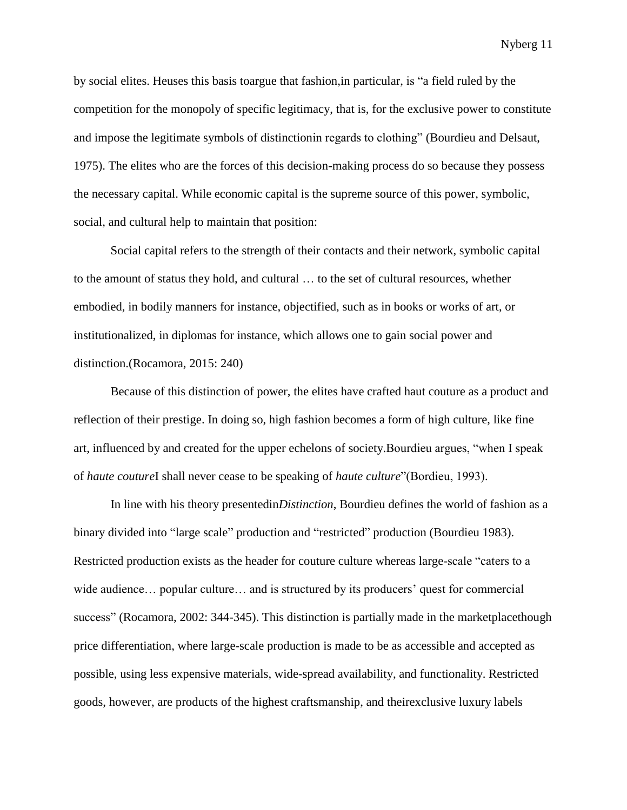by social elites. Heuses this basis toargue that fashion,in particular, is "a field ruled by the competition for the monopoly of specific legitimacy, that is, for the exclusive power to constitute and impose the legitimate symbols of distinctionin regards to clothing" (Bourdieu and Delsaut, 1975). The elites who are the forces of this decision-making process do so because they possess the necessary capital. While economic capital is the supreme source of this power, symbolic, social, and cultural help to maintain that position:

Social capital refers to the strength of their contacts and their network, symbolic capital to the amount of status they hold, and cultural … to the set of cultural resources, whether embodied, in bodily manners for instance, objectified, such as in books or works of art, or institutionalized, in diplomas for instance, which allows one to gain social power and distinction.(Rocamora, 2015: 240)

Because of this distinction of power, the elites have crafted haut couture as a product and reflection of their prestige. In doing so, high fashion becomes a form of high culture, like fine art, influenced by and created for the upper echelons of society.Bourdieu argues, "when I speak of *haute couture*I shall never cease to be speaking of *haute culture*"(Bordieu, 1993).

In line with his theory presentedin*Distinction*, Bourdieu defines the world of fashion as a binary divided into "large scale" production and "restricted" production (Bourdieu 1983). Restricted production exists as the header for couture culture whereas large-scale "caters to a wide audience… popular culture… and is structured by its producers' quest for commercial success" (Rocamora, 2002: 344-345). This distinction is partially made in the marketplacethough price differentiation, where large-scale production is made to be as accessible and accepted as possible, using less expensive materials, wide-spread availability, and functionality. Restricted goods, however, are products of the highest craftsmanship, and theirexclusive luxury labels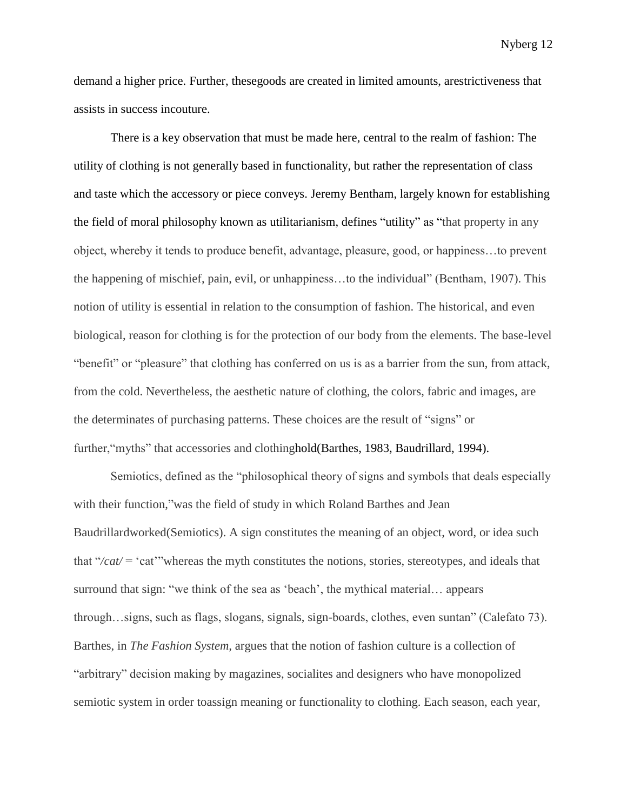demand a higher price. Further, thesegoods are created in limited amounts, arestrictiveness that assists in success incouture.

There is a key observation that must be made here, central to the realm of fashion: The utility of clothing is not generally based in functionality, but rather the representation of class and taste which the accessory or piece conveys. Jeremy Bentham, largely known for establishing the field of moral philosophy known as utilitarianism, defines "utility" as "that property in any object, whereby it tends to produce benefit, advantage, pleasure, good, or happiness…to prevent the happening of mischief, pain, evil, or unhappiness…to the individual" (Bentham, 1907). This notion of utility is essential in relation to the consumption of fashion. The historical, and even biological, reason for clothing is for the protection of our body from the elements. The base-level "benefit" or "pleasure" that clothing has conferred on us is as a barrier from the sun, from attack, from the cold. Nevertheless, the aesthetic nature of clothing, the colors, fabric and images, are the determinates of purchasing patterns. These choices are the result of "signs" or further, "myths" that accessories and clothinghold(Barthes, 1983, Baudrillard, 1994).

Semiotics, defined as the "philosophical theory of signs and symbols that deals especially with their function," was the field of study in which Roland Barthes and Jean Baudrillardworked(Semiotics). A sign constitutes the meaning of an object, word, or idea such that "*/cat/* = 'cat'"whereas the myth constitutes the notions, stories, stereotypes, and ideals that surround that sign: "we think of the sea as 'beach', the mythical material… appears through…signs, such as flags, slogans, signals, sign-boards, clothes, even suntan" (Calefato 73). Barthes, in *The Fashion System,* argues that the notion of fashion culture is a collection of "arbitrary" decision making by magazines, socialites and designers who have monopolized semiotic system in order toassign meaning or functionality to clothing. Each season, each year,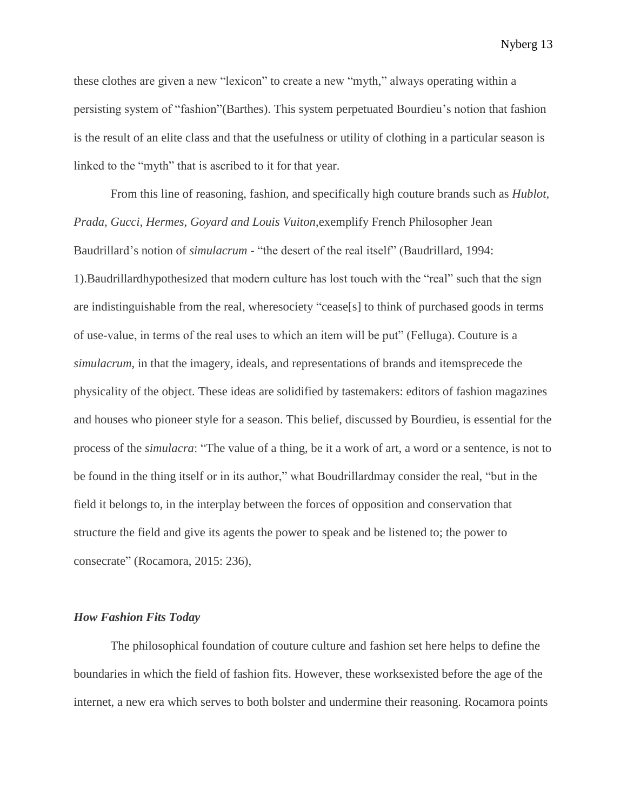these clothes are given a new "lexicon" to create a new "myth," always operating within a persisting system of "fashion"(Barthes). This system perpetuated Bourdieu's notion that fashion is the result of an elite class and that the usefulness or utility of clothing in a particular season is linked to the "myth" that is ascribed to it for that year.

From this line of reasoning, fashion, and specifically high couture brands such as *Hublot, Prada, Gucci, Hermes, Goyard and Louis Vuiton*,exemplify French Philosopher Jean Baudrillard's notion of *simulacrum* - "the desert of the real itself" (Baudrillard, 1994: 1).Baudrillardhypothesized that modern culture has lost touch with the "real" such that the sign are indistinguishable from the real, wheresociety "cease[s] to think of purchased goods in terms of use-value, in terms of the real uses to which an item will be put" (Felluga). Couture is a *simulacrum*, in that the imagery, ideals, and representations of brands and itemsprecede the physicality of the object. These ideas are solidified by tastemakers: editors of fashion magazines and houses who pioneer style for a season. This belief, discussed by Bourdieu, is essential for the process of the *simulacra*: "The value of a thing, be it a work of art, a word or a sentence, is not to be found in the thing itself or in its author," what Boudrillardmay consider the real, "but in the field it belongs to, in the interplay between the forces of opposition and conservation that structure the field and give its agents the power to speak and be listened to; the power to consecrate" (Rocamora, 2015: 236),

#### *How Fashion Fits Today*

The philosophical foundation of couture culture and fashion set here helps to define the boundaries in which the field of fashion fits. However, these worksexisted before the age of the internet, a new era which serves to both bolster and undermine their reasoning. Rocamora points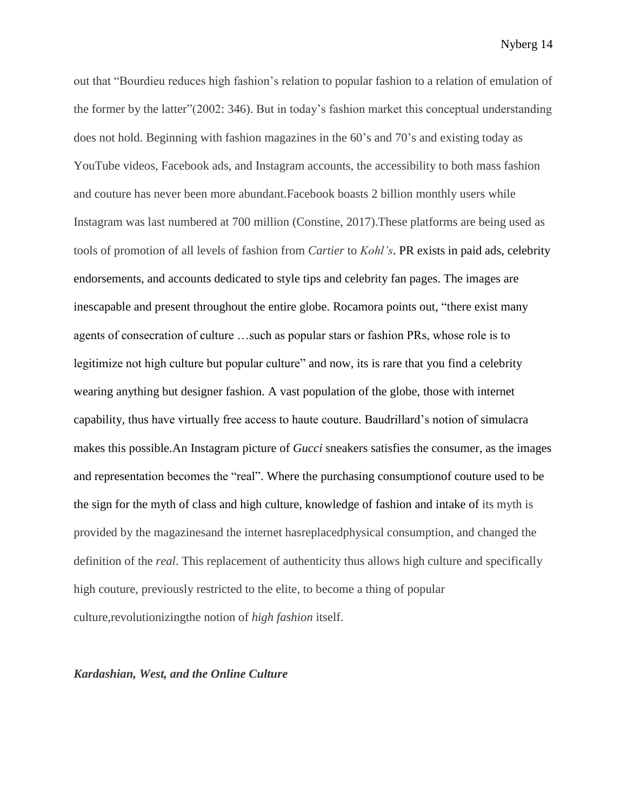out that "Bourdieu reduces high fashion's relation to popular fashion to a relation of emulation of the former by the latter"(2002: 346). But in today's fashion market this conceptual understanding does not hold. Beginning with fashion magazines in the 60's and 70's and existing today as YouTube videos, Facebook ads, and Instagram accounts, the accessibility to both mass fashion and couture has never been more abundant.Facebook boasts 2 billion monthly users while Instagram was last numbered at 700 million (Constine, 2017).These platforms are being used as tools of promotion of all levels of fashion from *Cartier* to *Kohl's*. PR exists in paid ads, celebrity endorsements, and accounts dedicated to style tips and celebrity fan pages. The images are inescapable and present throughout the entire globe. Rocamora points out, "there exist many agents of consecration of culture …such as popular stars or fashion PRs, whose role is to legitimize not high culture but popular culture" and now, its is rare that you find a celebrity wearing anything but designer fashion. A vast population of the globe, those with internet capability, thus have virtually free access to haute couture. Baudrillard's notion of simulacra makes this possible.An Instagram picture of *Gucci* sneakers satisfies the consumer, as the images and representation becomes the "real". Where the purchasing consumptionof couture used to be the sign for the myth of class and high culture, knowledge of fashion and intake of its myth is provided by the magazinesand the internet hasreplacedphysical consumption, and changed the definition of the *real*. This replacement of authenticity thus allows high culture and specifically high couture, previously restricted to the elite, to become a thing of popular culture,revolutionizingthe notion of *high fashion* itself.

#### *Kardashian, West, and the Online Culture*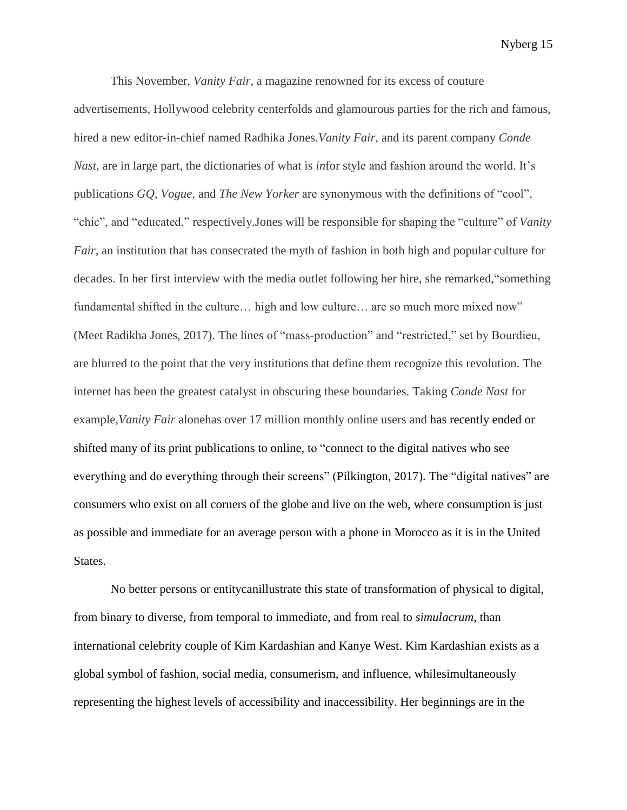This November, *Vanity Fair*, a magazine renowned for its excess of couture advertisements, Hollywood celebrity centerfolds and glamourous parties for the rich and famous, hired a new editor-in-chief named Radhika Jones.*Vanity Fair*, and its parent company *Conde Nast*, are in large part, the dictionaries of what is *in*for style and fashion around the world. It's publications *GQ, Vogue,* and *The New Yorker* are synonymous with the definitions of "cool", "chic", and "educated," respectively.Jones will be responsible for shaping the "culture" of *Vanity Fair*, an institution that has consecrated the myth of fashion in both high and popular culture for decades. In her first interview with the media outlet following her hire, she remarked,"something fundamental shifted in the culture... high and low culture... are so much more mixed now" (Meet Radikha Jones, 2017). The lines of "mass-production" and "restricted," set by Bourdieu, are blurred to the point that the very institutions that define them recognize this revolution. The internet has been the greatest catalyst in obscuring these boundaries. Taking *Conde Nast* for example,*Vanity Fair* alonehas over 17 million monthly online users and has recently ended or shifted many of its print publications to online, to "connect to the digital natives who see everything and do everything through their screens" (Pilkington, 2017). The "digital natives" are consumers who exist on all corners of the globe and live on the web, where consumption is just as possible and immediate for an average person with a phone in Morocco as it is in the United States.

No better persons or entitycanillustrate this state of transformation of physical to digital, from binary to diverse, from temporal to immediate, and from real to *simulacrum*, than international celebrity couple of Kim Kardashian and Kanye West. Kim Kardashian exists as a global symbol of fashion, social media, consumerism, and influence, whilesimultaneously representing the highest levels of accessibility and inaccessibility. Her beginnings are in the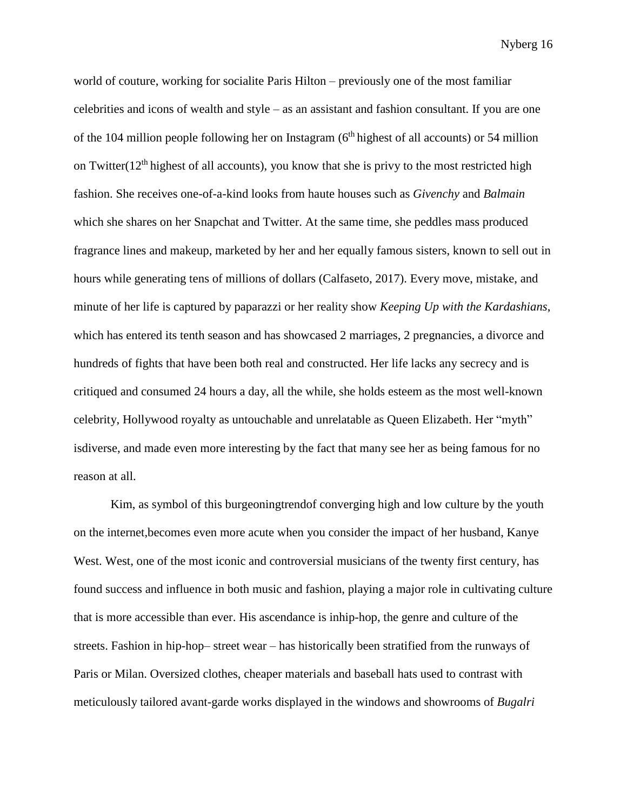world of couture, working for socialite Paris Hilton – previously one of the most familiar celebrities and icons of wealth and style – as an assistant and fashion consultant. If you are one of the 104 million people following her on Instagram  $(6<sup>th</sup>$  highest of all accounts) or 54 million on Twitter( $12<sup>th</sup>$  highest of all accounts), you know that she is privy to the most restricted high fashion. She receives one-of-a-kind looks from haute houses such as *Givenchy* and *Balmain* which she shares on her Snapchat and Twitter. At the same time, she peddles mass produced fragrance lines and makeup, marketed by her and her equally famous sisters, known to sell out in hours while generating tens of millions of dollars (Calfaseto, 2017). Every move, mistake, and minute of her life is captured by paparazzi or her reality show *Keeping Up with the Kardashians*, which has entered its tenth season and has showcased 2 marriages, 2 pregnancies, a divorce and hundreds of fights that have been both real and constructed. Her life lacks any secrecy and is critiqued and consumed 24 hours a day, all the while, she holds esteem as the most well-known celebrity, Hollywood royalty as untouchable and unrelatable as Queen Elizabeth. Her "myth" isdiverse, and made even more interesting by the fact that many see her as being famous for no reason at all.

Kim, as symbol of this burgeoningtrendof converging high and low culture by the youth on the internet,becomes even more acute when you consider the impact of her husband, Kanye West. West, one of the most iconic and controversial musicians of the twenty first century, has found success and influence in both music and fashion, playing a major role in cultivating culture that is more accessible than ever. His ascendance is inhip-hop, the genre and culture of the streets. Fashion in hip-hop– street wear – has historically been stratified from the runways of Paris or Milan. Oversized clothes, cheaper materials and baseball hats used to contrast with meticulously tailored avant-garde works displayed in the windows and showrooms of *Bugalri*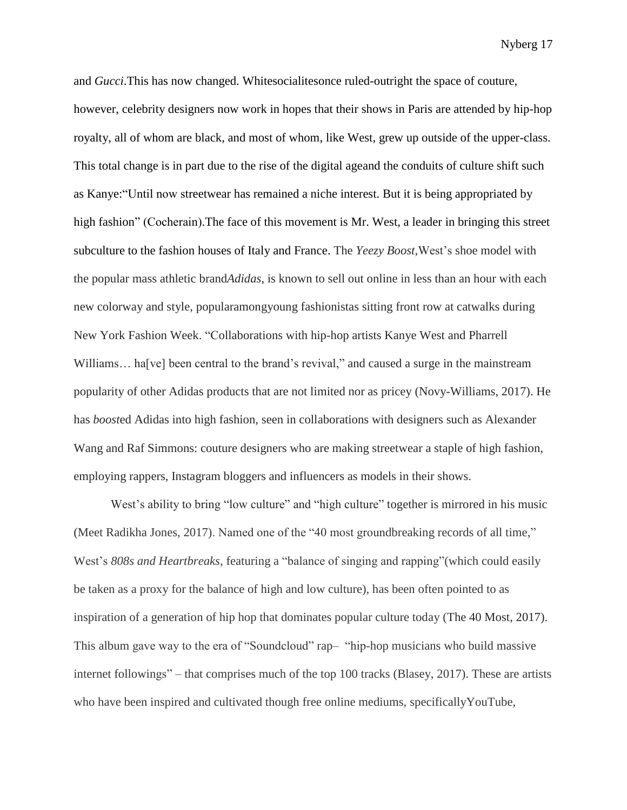and *Gucci*.This has now changed. Whitesocialitesonce ruled-outright the space of couture, however, celebrity designers now work in hopes that their shows in Paris are attended by hip-hop royalty, all of whom are black, and most of whom, like West, grew up outside of the upper-class. This total change is in part due to the rise of the digital ageand the conduits of culture shift such as Kanye:"Until now streetwear has remained a niche interest. But it is being appropriated by high fashion" (Cocherain). The face of this movement is Mr. West, a leader in bringing this street subculture to the fashion houses of Italy and France. The *Yeezy Boost,*West's shoe model with the popular mass athletic brand*Adidas*, is known to sell out online in less than an hour with each new colorway and style, popularamongyoung fashionistas sitting front row at catwalks during New York Fashion Week. "Collaborations with hip-hop artists Kanye West and Pharrell Williams... ha<sup>[ve]</sup> been central to the brand's revival," and caused a surge in the mainstream popularity of other Adidas products that are not limited nor as pricey (Novy-Williams, 2017). He has *boost*ed Adidas into high fashion, seen in collaborations with designers such as Alexander Wang and Raf Simmons: couture designers who are making streetwear a staple of high fashion, employing rappers, Instagram bloggers and influencers as models in their shows.

West's ability to bring "low culture" and "high culture" together is mirrored in his music (Meet Radikha Jones, 2017). Named one of the "40 most groundbreaking records of all time," West's *808s and Heartbreaks*, featuring a "balance of singing and rapping"(which could easily be taken as a proxy for the balance of high and low culture), has been often pointed to as inspiration of a generation of hip hop that dominates popular culture today (The 40 Most, 2017). This album gave way to the era of "Soundcloud" rap– "hip-hop musicians who build massive internet followings" – that comprises much of the top 100 tracks (Blasey, 2017). These are artists who have been inspired and cultivated though free online mediums, specificallyYouTube,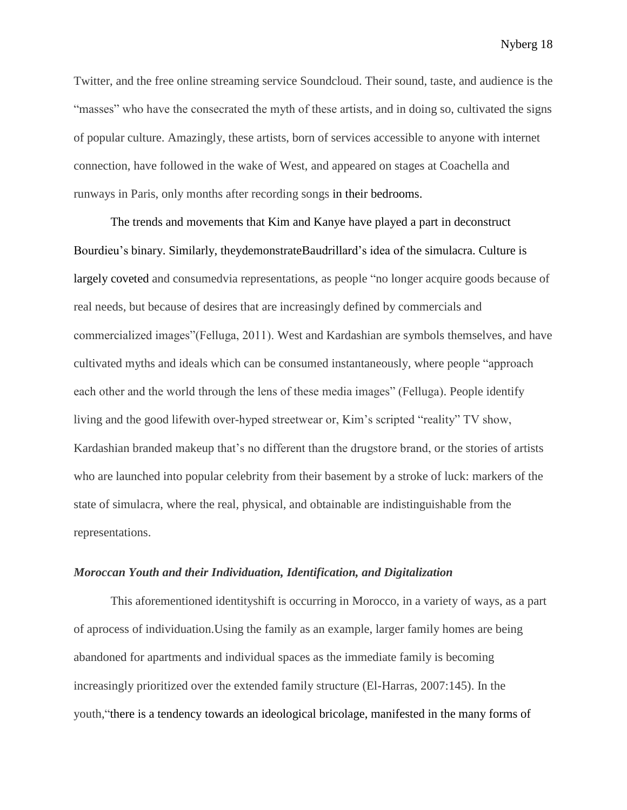Twitter, and the free online streaming service Soundcloud. Their sound, taste, and audience is the "masses" who have the consecrated the myth of these artists, and in doing so, cultivated the signs of popular culture. Amazingly, these artists, born of services accessible to anyone with internet connection, have followed in the wake of West, and appeared on stages at Coachella and runways in Paris, only months after recording songs in their bedrooms.

The trends and movements that Kim and Kanye have played a part in deconstruct Bourdieu's binary. Similarly, theydemonstrateBaudrillard's idea of the simulacra. Culture is largely coveted and consumedvia representations, as people "no longer acquire goods because of real needs, but because of desires that are increasingly defined by commercials and commercialized images"(Felluga, 2011). West and Kardashian are symbols themselves, and have cultivated myths and ideals which can be consumed instantaneously, where people "approach each other and the world through the lens of these media images" (Felluga). People identify living and the good lifewith over-hyped streetwear or, Kim's scripted "reality" TV show, Kardashian branded makeup that's no different than the drugstore brand, or the stories of artists who are launched into popular celebrity from their basement by a stroke of luck: markers of the state of simulacra, where the real, physical, and obtainable are indistinguishable from the representations.

#### *Moroccan Youth and their Individuation, Identification, and Digitalization*

This aforementioned identityshift is occurring in Morocco, in a variety of ways, as a part of aprocess of individuation.Using the family as an example, larger family homes are being abandoned for apartments and individual spaces as the immediate family is becoming increasingly prioritized over the extended family structure (El-Harras, 2007:145). In the youth,"there is a tendency towards an ideological bricolage, manifested in the many forms of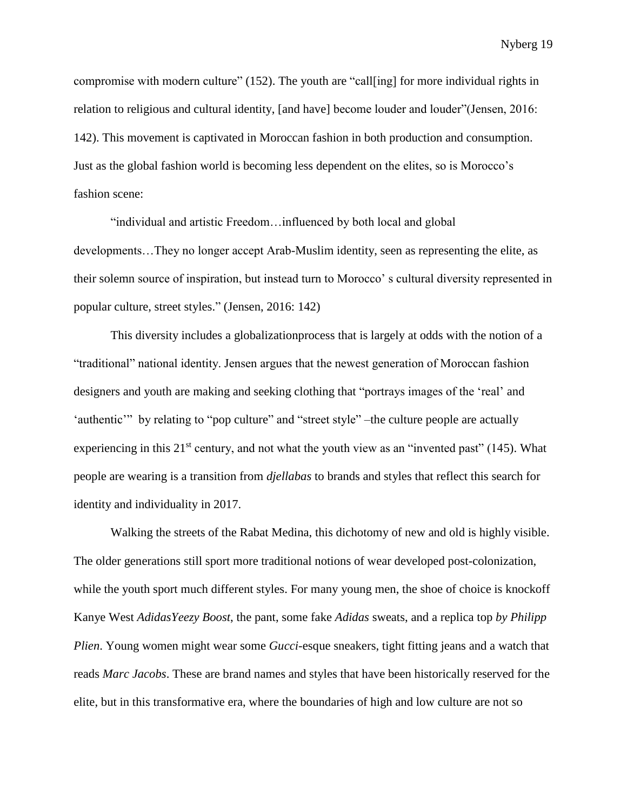compromise with modern culture" (152). The youth are "call[ing] for more individual rights in relation to religious and cultural identity, [and have] become louder and louder"(Jensen, 2016: 142). This movement is captivated in Moroccan fashion in both production and consumption. Just as the global fashion world is becoming less dependent on the elites, so is Morocco's fashion scene:

"individual and artistic Freedom…influenced by both local and global developments…They no longer accept Arab-Muslim identity, seen as representing the elite, as their solemn source of inspiration, but instead turn to Morocco' s cultural diversity represented in popular culture, street styles." (Jensen, 2016: 142)

This diversity includes a globalizationprocess that is largely at odds with the notion of a "traditional" national identity. Jensen argues that the newest generation of Moroccan fashion designers and youth are making and seeking clothing that "portrays images of the 'real' and 'authentic'" by relating to "pop culture" and "street style" –the culture people are actually experiencing in this  $21^{st}$  century, and not what the youth view as an "invented past" (145). What people are wearing is a transition from *djellabas* to brands and styles that reflect this search for identity and individuality in 2017.

Walking the streets of the Rabat Medina, this dichotomy of new and old is highly visible. The older generations still sport more traditional notions of wear developed post-colonization, while the youth sport much different styles. For many young men, the shoe of choice is knockoff Kanye West *AdidasYeezy Boost*, the pant, some fake *Adidas* sweats, and a replica top *by Philipp Plien*. Young women might wear some *Gucci*-esque sneakers, tight fitting jeans and a watch that reads *Marc Jacobs*. These are brand names and styles that have been historically reserved for the elite, but in this transformative era, where the boundaries of high and low culture are not so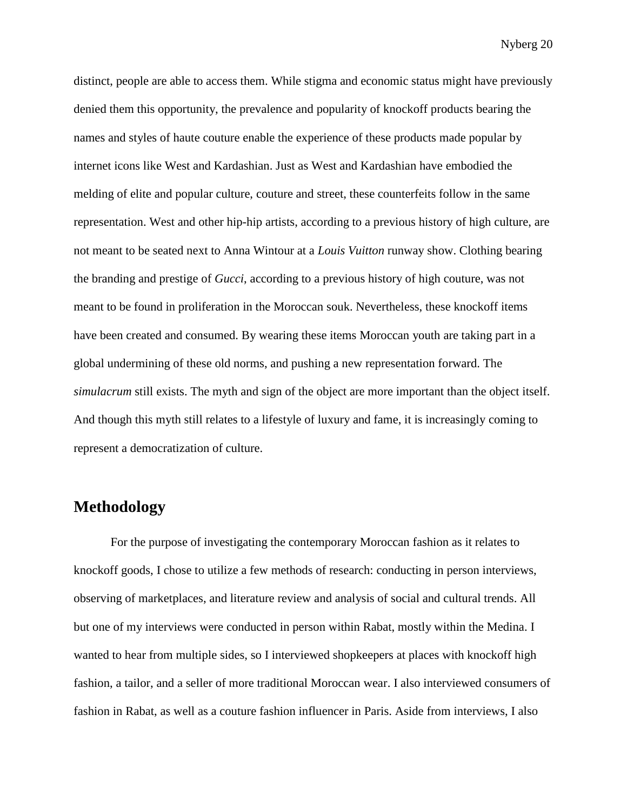distinct, people are able to access them. While stigma and economic status might have previously denied them this opportunity, the prevalence and popularity of knockoff products bearing the names and styles of haute couture enable the experience of these products made popular by internet icons like West and Kardashian. Just as West and Kardashian have embodied the melding of elite and popular culture, couture and street, these counterfeits follow in the same representation. West and other hip-hip artists, according to a previous history of high culture, are not meant to be seated next to Anna Wintour at a *Louis Vuitton* runway show. Clothing bearing the branding and prestige of *Gucci*, according to a previous history of high couture, was not meant to be found in proliferation in the Moroccan souk. Nevertheless, these knockoff items have been created and consumed. By wearing these items Moroccan youth are taking part in a global undermining of these old norms, and pushing a new representation forward. The *simulacrum* still exists. The myth and sign of the object are more important than the object itself. And though this myth still relates to a lifestyle of luxury and fame, it is increasingly coming to represent a democratization of culture.

### **Methodology**

For the purpose of investigating the contemporary Moroccan fashion as it relates to knockoff goods, I chose to utilize a few methods of research: conducting in person interviews, observing of marketplaces, and literature review and analysis of social and cultural trends. All but one of my interviews were conducted in person within Rabat, mostly within the Medina. I wanted to hear from multiple sides, so I interviewed shopkeepers at places with knockoff high fashion, a tailor, and a seller of more traditional Moroccan wear. I also interviewed consumers of fashion in Rabat, as well as a couture fashion influencer in Paris. Aside from interviews, I also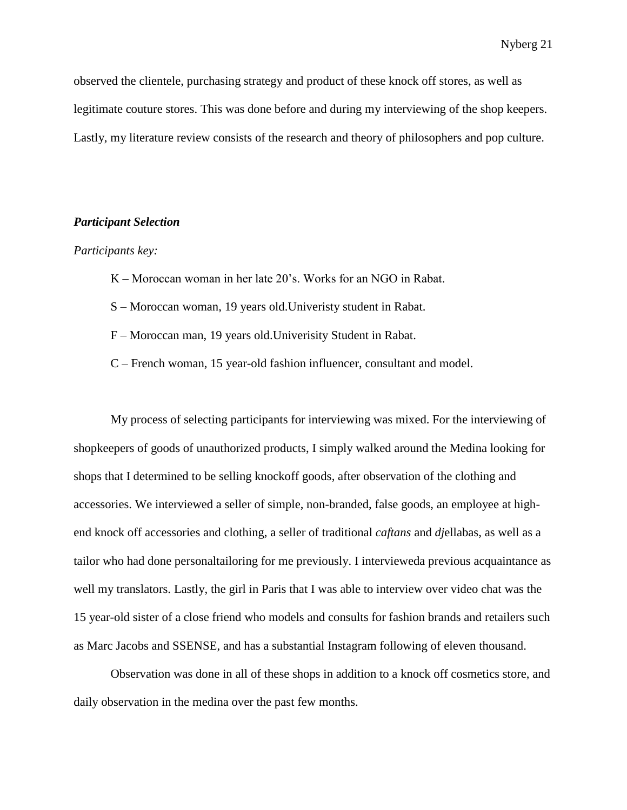observed the clientele, purchasing strategy and product of these knock off stores, as well as legitimate couture stores. This was done before and during my interviewing of the shop keepers. Lastly, my literature review consists of the research and theory of philosophers and pop culture.

#### *Participant Selection*

#### *Participants key:*

- K Moroccan woman in her late 20's. Works for an NGO in Rabat.
- S Moroccan woman, 19 years old.Univeristy student in Rabat.
- F Moroccan man, 19 years old.Univerisity Student in Rabat.
- C French woman, 15 year-old fashion influencer, consultant and model.

My process of selecting participants for interviewing was mixed. For the interviewing of shopkeepers of goods of unauthorized products, I simply walked around the Medina looking for shops that I determined to be selling knockoff goods, after observation of the clothing and accessories. We interviewed a seller of simple, non-branded, false goods, an employee at highend knock off accessories and clothing, a seller of traditional *caftans* and *dj*ellabas, as well as a tailor who had done personaltailoring for me previously. I intervieweda previous acquaintance as well my translators. Lastly, the girl in Paris that I was able to interview over video chat was the 15 year-old sister of a close friend who models and consults for fashion brands and retailers such as Marc Jacobs and SSENSE, and has a substantial Instagram following of eleven thousand.

Observation was done in all of these shops in addition to a knock off cosmetics store, and daily observation in the medina over the past few months.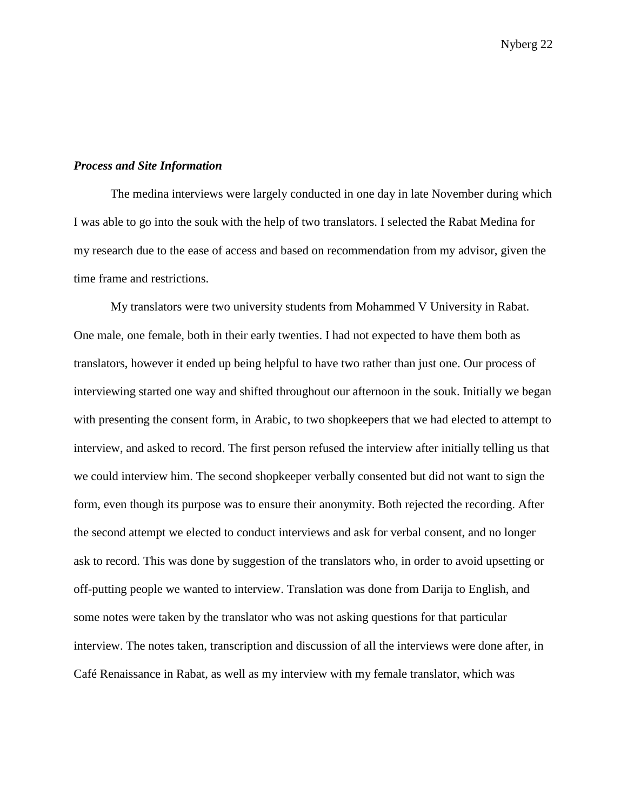#### *Process and Site Information*

The medina interviews were largely conducted in one day in late November during which I was able to go into the souk with the help of two translators. I selected the Rabat Medina for my research due to the ease of access and based on recommendation from my advisor, given the time frame and restrictions.

My translators were two university students from Mohammed V University in Rabat. One male, one female, both in their early twenties. I had not expected to have them both as translators, however it ended up being helpful to have two rather than just one. Our process of interviewing started one way and shifted throughout our afternoon in the souk. Initially we began with presenting the consent form, in Arabic, to two shopkeepers that we had elected to attempt to interview, and asked to record. The first person refused the interview after initially telling us that we could interview him. The second shopkeeper verbally consented but did not want to sign the form, even though its purpose was to ensure their anonymity. Both rejected the recording. After the second attempt we elected to conduct interviews and ask for verbal consent, and no longer ask to record. This was done by suggestion of the translators who, in order to avoid upsetting or off-putting people we wanted to interview. Translation was done from Darija to English, and some notes were taken by the translator who was not asking questions for that particular interview. The notes taken, transcription and discussion of all the interviews were done after, in Café Renaissance in Rabat, as well as my interview with my female translator, which was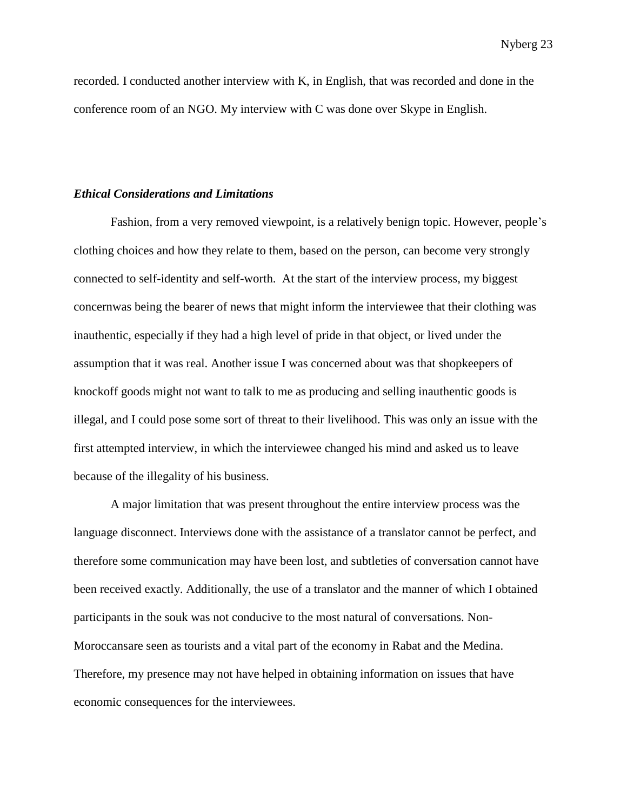recorded. I conducted another interview with K, in English, that was recorded and done in the conference room of an NGO. My interview with C was done over Skype in English.

#### *Ethical Considerations and Limitations*

Fashion, from a very removed viewpoint, is a relatively benign topic. However, people's clothing choices and how they relate to them, based on the person, can become very strongly connected to self-identity and self-worth. At the start of the interview process, my biggest concernwas being the bearer of news that might inform the interviewee that their clothing was inauthentic, especially if they had a high level of pride in that object, or lived under the assumption that it was real. Another issue I was concerned about was that shopkeepers of knockoff goods might not want to talk to me as producing and selling inauthentic goods is illegal, and I could pose some sort of threat to their livelihood. This was only an issue with the first attempted interview, in which the interviewee changed his mind and asked us to leave because of the illegality of his business.

A major limitation that was present throughout the entire interview process was the language disconnect. Interviews done with the assistance of a translator cannot be perfect, and therefore some communication may have been lost, and subtleties of conversation cannot have been received exactly. Additionally, the use of a translator and the manner of which I obtained participants in the souk was not conducive to the most natural of conversations. Non-Moroccansare seen as tourists and a vital part of the economy in Rabat and the Medina. Therefore, my presence may not have helped in obtaining information on issues that have economic consequences for the interviewees.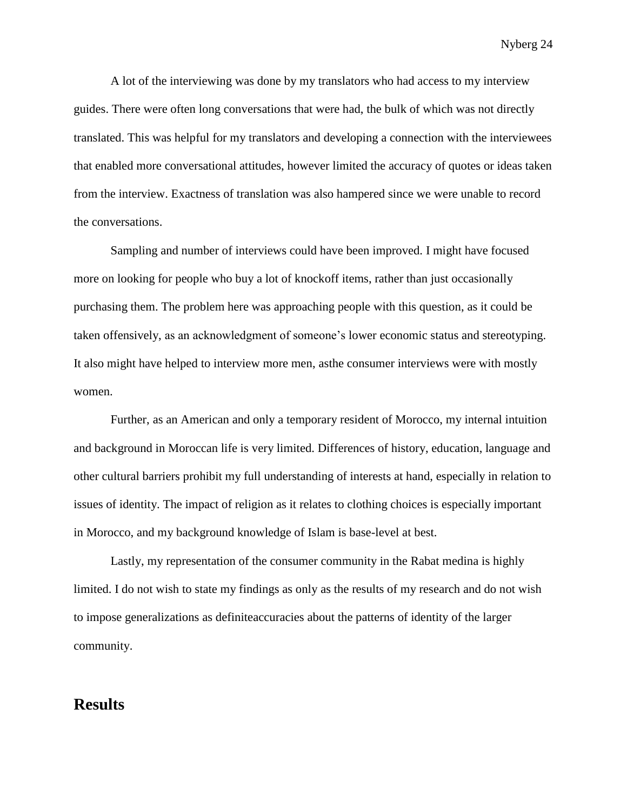A lot of the interviewing was done by my translators who had access to my interview guides. There were often long conversations that were had, the bulk of which was not directly translated. This was helpful for my translators and developing a connection with the interviewees that enabled more conversational attitudes, however limited the accuracy of quotes or ideas taken from the interview. Exactness of translation was also hampered since we were unable to record the conversations.

Sampling and number of interviews could have been improved. I might have focused more on looking for people who buy a lot of knockoff items, rather than just occasionally purchasing them. The problem here was approaching people with this question, as it could be taken offensively, as an acknowledgment of someone's lower economic status and stereotyping. It also might have helped to interview more men, asthe consumer interviews were with mostly women.

Further, as an American and only a temporary resident of Morocco, my internal intuition and background in Moroccan life is very limited. Differences of history, education, language and other cultural barriers prohibit my full understanding of interests at hand, especially in relation to issues of identity. The impact of religion as it relates to clothing choices is especially important in Morocco, and my background knowledge of Islam is base-level at best.

Lastly, my representation of the consumer community in the Rabat medina is highly limited. I do not wish to state my findings as only as the results of my research and do not wish to impose generalizations as definiteaccuracies about the patterns of identity of the larger community.

### **Results**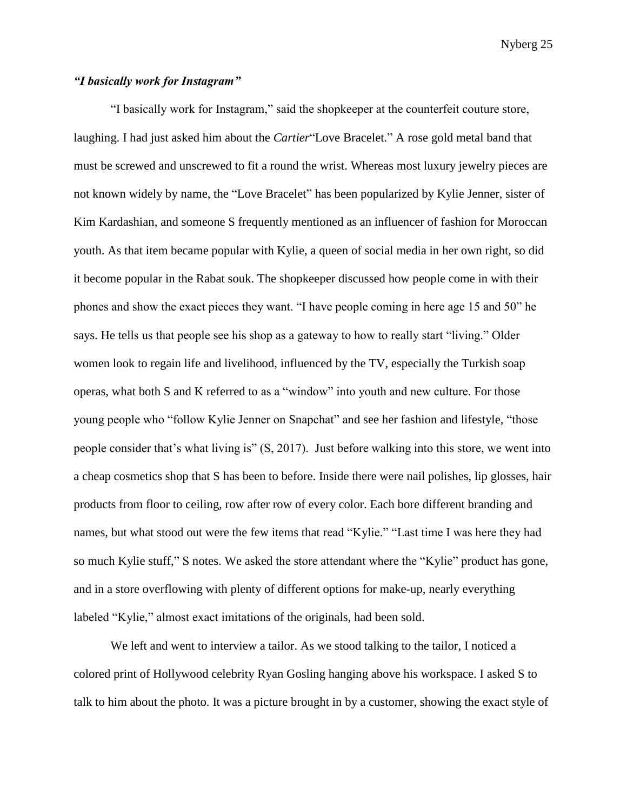### *"I basically work for Instagram"*

"I basically work for Instagram," said the shopkeeper at the counterfeit couture store, laughing. I had just asked him about the *Cartier*"Love Bracelet." A rose gold metal band that must be screwed and unscrewed to fit a round the wrist. Whereas most luxury jewelry pieces are not known widely by name, the "Love Bracelet" has been popularized by Kylie Jenner, sister of Kim Kardashian, and someone S frequently mentioned as an influencer of fashion for Moroccan youth. As that item became popular with Kylie, a queen of social media in her own right, so did it become popular in the Rabat souk. The shopkeeper discussed how people come in with their phones and show the exact pieces they want. "I have people coming in here age 15 and 50" he says. He tells us that people see his shop as a gateway to how to really start "living." Older women look to regain life and livelihood, influenced by the TV, especially the Turkish soap operas, what both S and K referred to as a "window" into youth and new culture. For those young people who "follow Kylie Jenner on Snapchat" and see her fashion and lifestyle, "those people consider that's what living is" (S, 2017). Just before walking into this store, we went into a cheap cosmetics shop that S has been to before. Inside there were nail polishes, lip glosses, hair products from floor to ceiling, row after row of every color. Each bore different branding and names, but what stood out were the few items that read "Kylie." "Last time I was here they had so much Kylie stuff," S notes. We asked the store attendant where the "Kylie" product has gone, and in a store overflowing with plenty of different options for make-up, nearly everything labeled "Kylie," almost exact imitations of the originals, had been sold.

We left and went to interview a tailor. As we stood talking to the tailor, I noticed a colored print of Hollywood celebrity Ryan Gosling hanging above his workspace. I asked S to talk to him about the photo. It was a picture brought in by a customer, showing the exact style of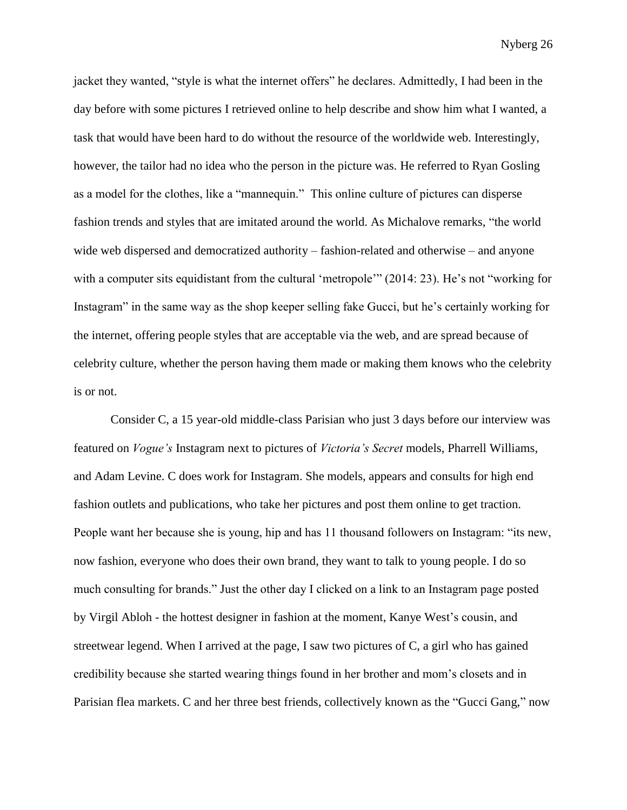jacket they wanted, "style is what the internet offers" he declares. Admittedly, I had been in the day before with some pictures I retrieved online to help describe and show him what I wanted, a task that would have been hard to do without the resource of the worldwide web. Interestingly, however, the tailor had no idea who the person in the picture was. He referred to Ryan Gosling as a model for the clothes, like a "mannequin." This online culture of pictures can disperse fashion trends and styles that are imitated around the world. As Michalove remarks, "the world wide web dispersed and democratized authority – fashion-related and otherwise – and anyone with a computer sits equidistant from the cultural 'metropole'" (2014: 23). He's not "working for Instagram" in the same way as the shop keeper selling fake Gucci, but he's certainly working for the internet, offering people styles that are acceptable via the web, and are spread because of celebrity culture, whether the person having them made or making them knows who the celebrity is or not.

Consider C, a 15 year-old middle-class Parisian who just 3 days before our interview was featured on *Vogue's* Instagram next to pictures of *Victoria's Secret* models, Pharrell Williams, and Adam Levine. C does work for Instagram. She models, appears and consults for high end fashion outlets and publications, who take her pictures and post them online to get traction. People want her because she is young, hip and has 11 thousand followers on Instagram: "its new, now fashion, everyone who does their own brand, they want to talk to young people. I do so much consulting for brands." Just the other day I clicked on a link to an Instagram page posted by Virgil Abloh - the hottest designer in fashion at the moment, Kanye West's cousin, and streetwear legend. When I arrived at the page, I saw two pictures of C, a girl who has gained credibility because she started wearing things found in her brother and mom's closets and in Parisian flea markets. C and her three best friends, collectively known as the "Gucci Gang," now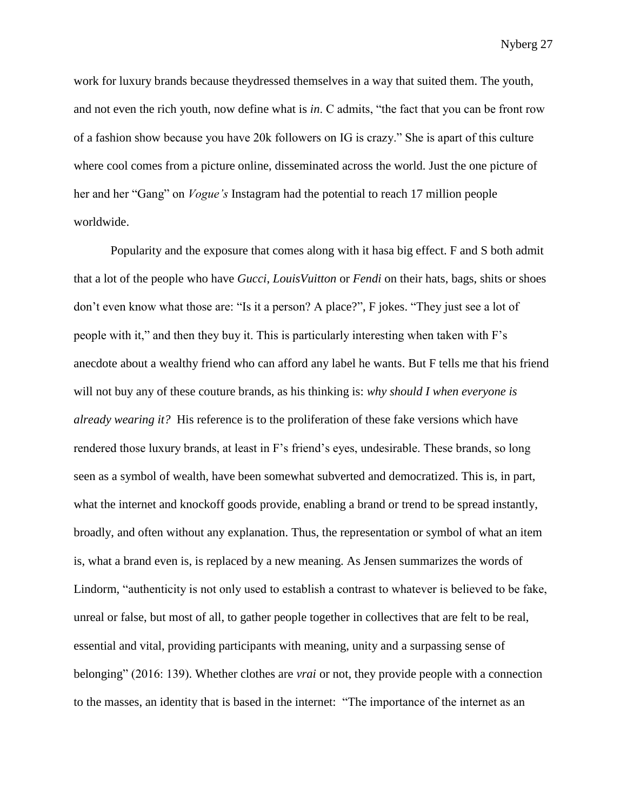work for luxury brands because theydressed themselves in a way that suited them. The youth, and not even the rich youth, now define what is *in*. C admits, "the fact that you can be front row of a fashion show because you have 20k followers on IG is crazy." She is apart of this culture where cool comes from a picture online, disseminated across the world. Just the one picture of her and her "Gang" on *Vogue's* Instagram had the potential to reach 17 million people worldwide.

Popularity and the exposure that comes along with it hasa big effect. F and S both admit that a lot of the people who have *Gucci*, *LouisVuitton* or *Fendi* on their hats, bags, shits or shoes don't even know what those are: "Is it a person? A place?", F jokes. "They just see a lot of people with it," and then they buy it. This is particularly interesting when taken with F's anecdote about a wealthy friend who can afford any label he wants. But F tells me that his friend will not buy any of these couture brands, as his thinking is: *why should I when everyone is already wearing it?* His reference is to the proliferation of these fake versions which have rendered those luxury brands, at least in F's friend's eyes, undesirable. These brands, so long seen as a symbol of wealth, have been somewhat subverted and democratized. This is, in part, what the internet and knockoff goods provide, enabling a brand or trend to be spread instantly, broadly, and often without any explanation. Thus, the representation or symbol of what an item is, what a brand even is, is replaced by a new meaning. As Jensen summarizes the words of Lindorm, "authenticity is not only used to establish a contrast to whatever is believed to be fake, unreal or false, but most of all, to gather people together in collectives that are felt to be real, essential and vital, providing participants with meaning, unity and a surpassing sense of belonging" (2016: 139). Whether clothes are *vrai* or not, they provide people with a connection to the masses, an identity that is based in the internet: "The importance of the internet as an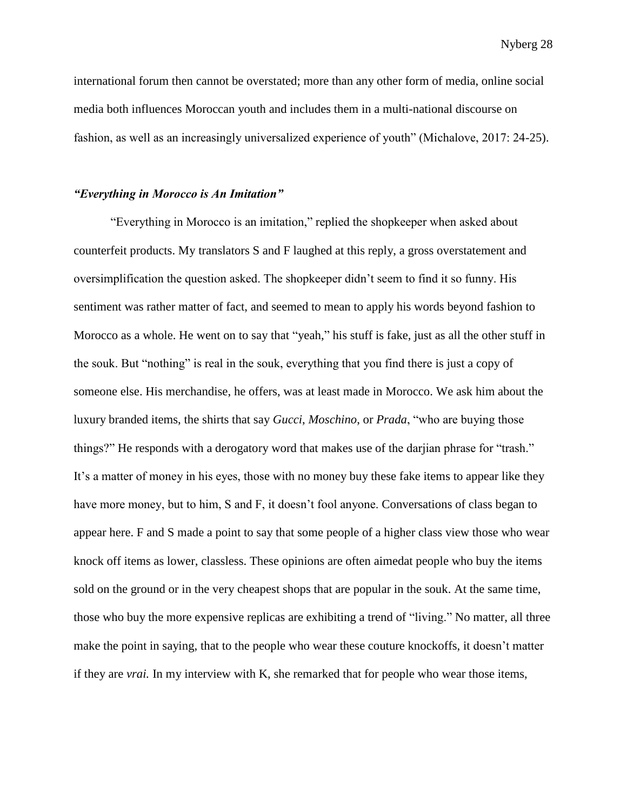international forum then cannot be overstated; more than any other form of media, online social media both influences Moroccan youth and includes them in a multi-national discourse on fashion, as well as an increasingly universalized experience of youth" (Michalove, 2017: 24-25).

#### *"Everything in Morocco is An Imitation"*

"Everything in Morocco is an imitation," replied the shopkeeper when asked about counterfeit products. My translators S and F laughed at this reply, a gross overstatement and oversimplification the question asked. The shopkeeper didn't seem to find it so funny. His sentiment was rather matter of fact, and seemed to mean to apply his words beyond fashion to Morocco as a whole. He went on to say that "yeah," his stuff is fake, just as all the other stuff in the souk. But "nothing" is real in the souk, everything that you find there is just a copy of someone else. His merchandise, he offers, was at least made in Morocco. We ask him about the luxury branded items, the shirts that say *Gucci*, *Moschino*, or *Prada*, "who are buying those things?" He responds with a derogatory word that makes use of the darjian phrase for "trash." It's a matter of money in his eyes, those with no money buy these fake items to appear like they have more money, but to him, S and F, it doesn't fool anyone. Conversations of class began to appear here. F and S made a point to say that some people of a higher class view those who wear knock off items as lower, classless. These opinions are often aimedat people who buy the items sold on the ground or in the very cheapest shops that are popular in the souk. At the same time, those who buy the more expensive replicas are exhibiting a trend of "living." No matter, all three make the point in saying, that to the people who wear these couture knockoffs, it doesn't matter if they are *vrai.* In my interview with K, she remarked that for people who wear those items,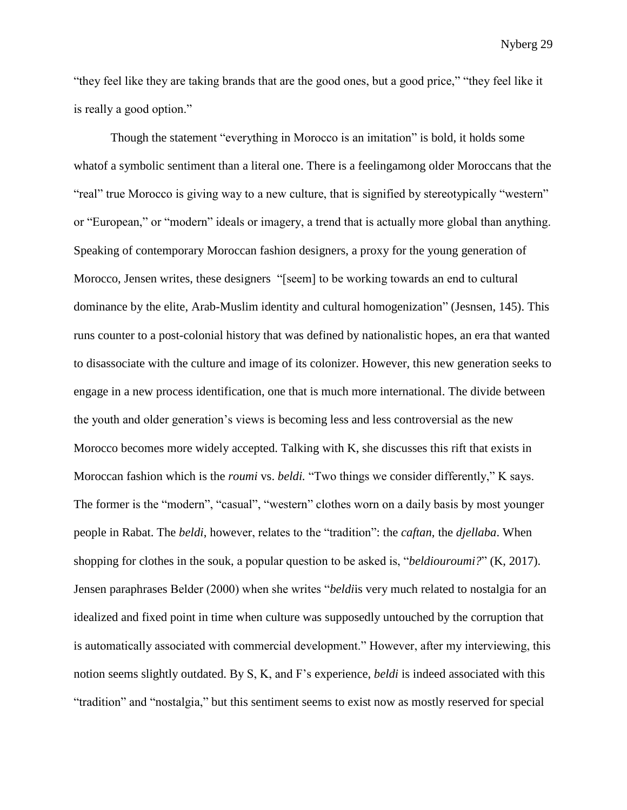"they feel like they are taking brands that are the good ones, but a good price," "they feel like it is really a good option."

Though the statement "everything in Morocco is an imitation" is bold, it holds some whatof a symbolic sentiment than a literal one. There is a feelingamong older Moroccans that the "real" true Morocco is giving way to a new culture, that is signified by stereotypically "western" or "European," or "modern" ideals or imagery, a trend that is actually more global than anything. Speaking of contemporary Moroccan fashion designers, a proxy for the young generation of Morocco, Jensen writes, these designers "[seem] to be working towards an end to cultural dominance by the elite, Arab-Muslim identity and cultural homogenization" (Jesnsen, 145). This runs counter to a post-colonial history that was defined by nationalistic hopes, an era that wanted to disassociate with the culture and image of its colonizer. However, this new generation seeks to engage in a new process identification, one that is much more international. The divide between the youth and older generation's views is becoming less and less controversial as the new Morocco becomes more widely accepted. Talking with K, she discusses this rift that exists in Moroccan fashion which is the *roumi* vs. *beldi*. "Two things we consider differently," K says. The former is the "modern", "casual", "western" clothes worn on a daily basis by most younger people in Rabat. The *beldi*, however, relates to the "tradition": the *caftan*, the *djellaba*. When shopping for clothes in the souk, a popular question to be asked is, "*beldiouroumi?*" (K, 2017). Jensen paraphrases Belder (2000) when she writes "*beldi*is very much related to nostalgia for an idealized and fixed point in time when culture was supposedly untouched by the corruption that is automatically associated with commercial development." However, after my interviewing, this notion seems slightly outdated. By S, K, and F's experience, *beldi* is indeed associated with this "tradition" and "nostalgia," but this sentiment seems to exist now as mostly reserved for special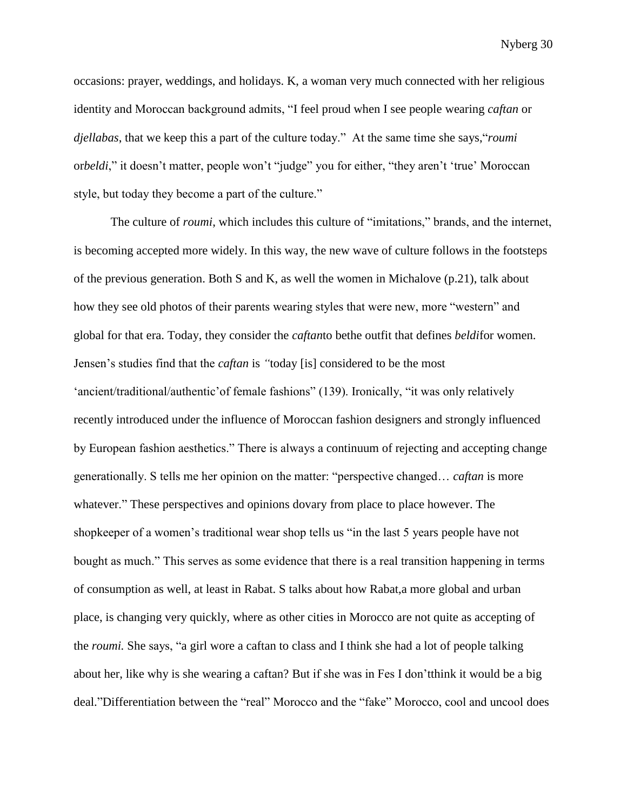occasions: prayer, weddings, and holidays. K, a woman very much connected with her religious identity and Moroccan background admits, "I feel proud when I see people wearing *caftan* or *djellabas*, that we keep this a part of the culture today." At the same time she says,"*roumi* or*beldi*," it doesn't matter, people won't "judge" you for either, "they aren't 'true' Moroccan style, but today they become a part of the culture."

The culture of *roumi*, which includes this culture of "imitations," brands, and the internet, is becoming accepted more widely. In this way, the new wave of culture follows in the footsteps of the previous generation. Both S and K, as well the women in Michalove  $(p.21)$ , talk about how they see old photos of their parents wearing styles that were new, more "western" and global for that era. Today, they consider the *caftan*to bethe outfit that defines *beldi*for women. Jensen's studies find that the *caftan* is *"*today [is] considered to be the most 'ancient/traditional/authentic'of female fashions" (139). Ironically, "it was only relatively recently introduced under the influence of Moroccan fashion designers and strongly influenced by European fashion aesthetics." There is always a continuum of rejecting and accepting change generationally. S tells me her opinion on the matter: "perspective changed… *caftan* is more whatever." These perspectives and opinions dovary from place to place however. The shopkeeper of a women's traditional wear shop tells us "in the last 5 years people have not bought as much." This serves as some evidence that there is a real transition happening in terms of consumption as well, at least in Rabat. S talks about how Rabat,a more global and urban place, is changing very quickly, where as other cities in Morocco are not quite as accepting of the *roumi.* She says, "a girl wore a caftan to class and I think she had a lot of people talking about her, like why is she wearing a caftan? But if she was in Fes I don'tthink it would be a big deal."Differentiation between the "real" Morocco and the "fake" Morocco, cool and uncool does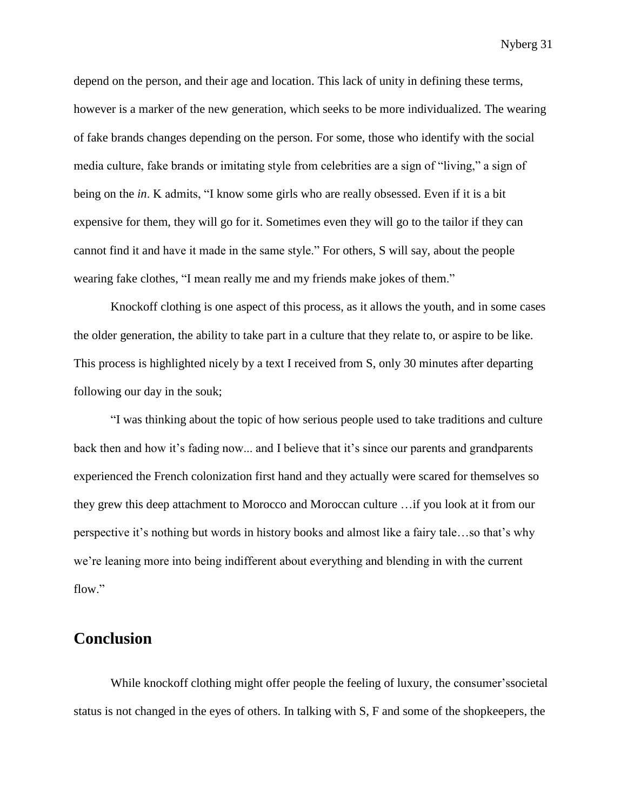depend on the person, and their age and location. This lack of unity in defining these terms, however is a marker of the new generation, which seeks to be more individualized. The wearing of fake brands changes depending on the person. For some, those who identify with the social media culture, fake brands or imitating style from celebrities are a sign of "living," a sign of being on the *in*. K admits, "I know some girls who are really obsessed. Even if it is a bit expensive for them, they will go for it. Sometimes even they will go to the tailor if they can cannot find it and have it made in the same style." For others, S will say, about the people wearing fake clothes, "I mean really me and my friends make jokes of them."

Knockoff clothing is one aspect of this process, as it allows the youth, and in some cases the older generation, the ability to take part in a culture that they relate to, or aspire to be like. This process is highlighted nicely by a text I received from S, only 30 minutes after departing following our day in the souk;

"I was thinking about the topic of how serious people used to take traditions and culture back then and how it's fading now... and I believe that it's since our parents and grandparents experienced the French colonization first hand and they actually were scared for themselves so they grew this deep attachment to Morocco and Moroccan culture …if you look at it from our perspective it's nothing but words in history books and almost like a fairy tale…so that's why we're leaning more into being indifferent about everything and blending in with the current flow."

### **Conclusion**

While knockoff clothing might offer people the feeling of luxury, the consumer'ssocietal status is not changed in the eyes of others. In talking with S, F and some of the shopkeepers, the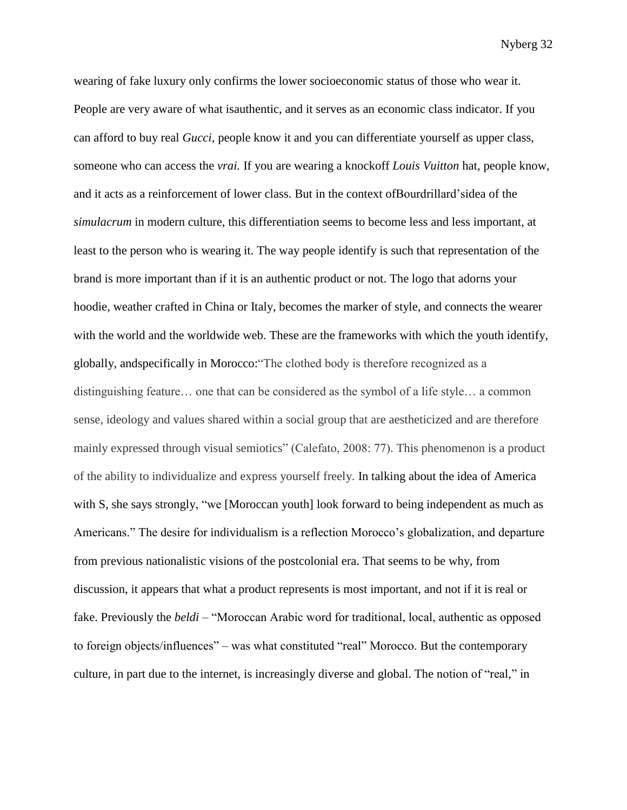wearing of fake luxury only confirms the lower socioeconomic status of those who wear it. People are very aware of what isauthentic, and it serves as an economic class indicator. If you can afford to buy real *Gucci*, people know it and you can differentiate yourself as upper class, someone who can access the *vrai.* If you are wearing a knockoff *Louis Vuitton* hat, people know, and it acts as a reinforcement of lower class. But in the context ofBourdrillard'sidea of the *simulacrum* in modern culture, this differentiation seems to become less and less important, at least to the person who is wearing it. The way people identify is such that representation of the brand is more important than if it is an authentic product or not. The logo that adorns your hoodie, weather crafted in China or Italy, becomes the marker of style, and connects the wearer with the world and the worldwide web. These are the frameworks with which the youth identify, globally, andspecifically in Morocco:"The clothed body is therefore recognized as a distinguishing feature… one that can be considered as the symbol of a life style… a common sense, ideology and values shared within a social group that are aestheticized and are therefore mainly expressed through visual semiotics" (Calefato, 2008: 77). This phenomenon is a product of the ability to individualize and express yourself freely. In talking about the idea of America with S, she says strongly, "we [Moroccan youth] look forward to being independent as much as Americans." The desire for individualism is a reflection Morocco's globalization, and departure from previous nationalistic visions of the postcolonial era. That seems to be why, from discussion, it appears that what a product represents is most important, and not if it is real or fake. Previously the *beldi –* "Moroccan Arabic word for traditional, local, authentic as opposed to foreign objects/influences" – was what constituted "real" Morocco. But the contemporary culture, in part due to the internet, is increasingly diverse and global. The notion of "real," in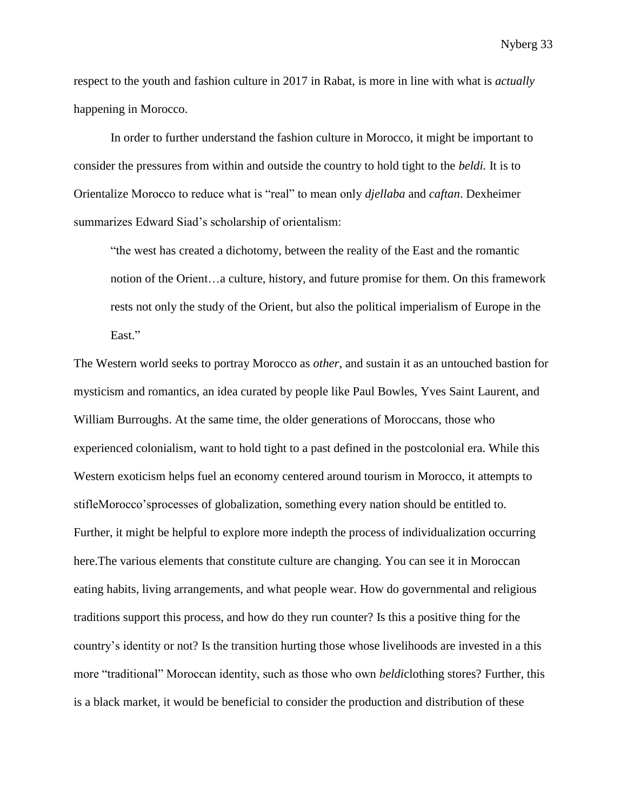respect to the youth and fashion culture in 2017 in Rabat, is more in line with what is *actually* happening in Morocco.

In order to further understand the fashion culture in Morocco, it might be important to consider the pressures from within and outside the country to hold tight to the *beldi.* It is to Orientalize Morocco to reduce what is "real" to mean only *djellaba* and *caftan*. Dexheimer summarizes Edward Siad's scholarship of orientalism:

"the west has created a dichotomy, between the reality of the East and the romantic notion of the Orient…a culture, history, and future promise for them. On this framework rests not only the study of the Orient, but also the political imperialism of Europe in the East."

The Western world seeks to portray Morocco as *other*, and sustain it as an untouched bastion for mysticism and romantics, an idea curated by people like Paul Bowles, Yves Saint Laurent, and William Burroughs. At the same time, the older generations of Moroccans, those who experienced colonialism, want to hold tight to a past defined in the postcolonial era. While this Western exoticism helps fuel an economy centered around tourism in Morocco, it attempts to stifleMorocco'sprocesses of globalization, something every nation should be entitled to. Further, it might be helpful to explore more indepth the process of individualization occurring here.The various elements that constitute culture are changing. You can see it in Moroccan eating habits, living arrangements, and what people wear. How do governmental and religious traditions support this process, and how do they run counter? Is this a positive thing for the country's identity or not? Is the transition hurting those whose livelihoods are invested in a this more "traditional" Moroccan identity, such as those who own *beldi*clothing stores? Further, this is a black market, it would be beneficial to consider the production and distribution of these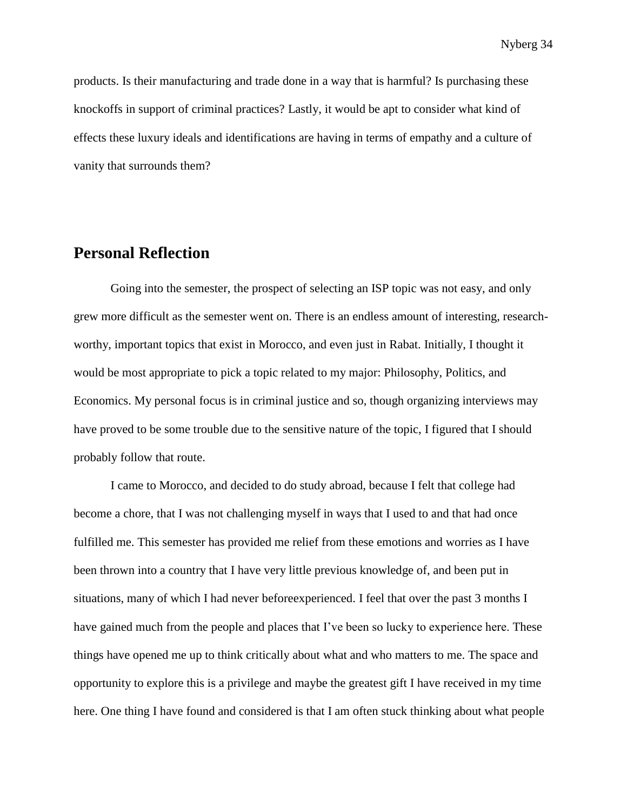products. Is their manufacturing and trade done in a way that is harmful? Is purchasing these knockoffs in support of criminal practices? Lastly, it would be apt to consider what kind of effects these luxury ideals and identifications are having in terms of empathy and a culture of vanity that surrounds them?

### **Personal Reflection**

Going into the semester, the prospect of selecting an ISP topic was not easy, and only grew more difficult as the semester went on. There is an endless amount of interesting, researchworthy, important topics that exist in Morocco, and even just in Rabat. Initially, I thought it would be most appropriate to pick a topic related to my major: Philosophy, Politics, and Economics. My personal focus is in criminal justice and so, though organizing interviews may have proved to be some trouble due to the sensitive nature of the topic, I figured that I should probably follow that route.

I came to Morocco, and decided to do study abroad, because I felt that college had become a chore, that I was not challenging myself in ways that I used to and that had once fulfilled me. This semester has provided me relief from these emotions and worries as I have been thrown into a country that I have very little previous knowledge of, and been put in situations, many of which I had never beforeexperienced. I feel that over the past 3 months I have gained much from the people and places that I've been so lucky to experience here. These things have opened me up to think critically about what and who matters to me. The space and opportunity to explore this is a privilege and maybe the greatest gift I have received in my time here. One thing I have found and considered is that I am often stuck thinking about what people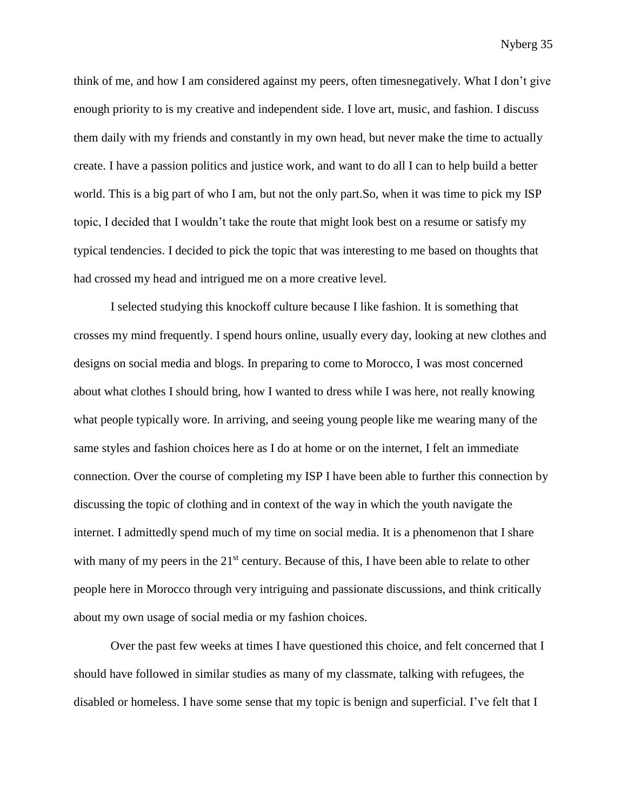think of me, and how I am considered against my peers, often timesnegatively. What I don't give enough priority to is my creative and independent side. I love art, music, and fashion. I discuss them daily with my friends and constantly in my own head, but never make the time to actually create. I have a passion politics and justice work, and want to do all I can to help build a better world. This is a big part of who I am, but not the only part.So, when it was time to pick my ISP topic, I decided that I wouldn't take the route that might look best on a resume or satisfy my typical tendencies. I decided to pick the topic that was interesting to me based on thoughts that had crossed my head and intrigued me on a more creative level.

I selected studying this knockoff culture because I like fashion. It is something that crosses my mind frequently. I spend hours online, usually every day, looking at new clothes and designs on social media and blogs. In preparing to come to Morocco, I was most concerned about what clothes I should bring, how I wanted to dress while I was here, not really knowing what people typically wore. In arriving, and seeing young people like me wearing many of the same styles and fashion choices here as I do at home or on the internet, I felt an immediate connection. Over the course of completing my ISP I have been able to further this connection by discussing the topic of clothing and in context of the way in which the youth navigate the internet. I admittedly spend much of my time on social media. It is a phenomenon that I share with many of my peers in the  $21<sup>st</sup>$  century. Because of this, I have been able to relate to other people here in Morocco through very intriguing and passionate discussions, and think critically about my own usage of social media or my fashion choices.

Over the past few weeks at times I have questioned this choice, and felt concerned that I should have followed in similar studies as many of my classmate, talking with refugees, the disabled or homeless. I have some sense that my topic is benign and superficial. I've felt that I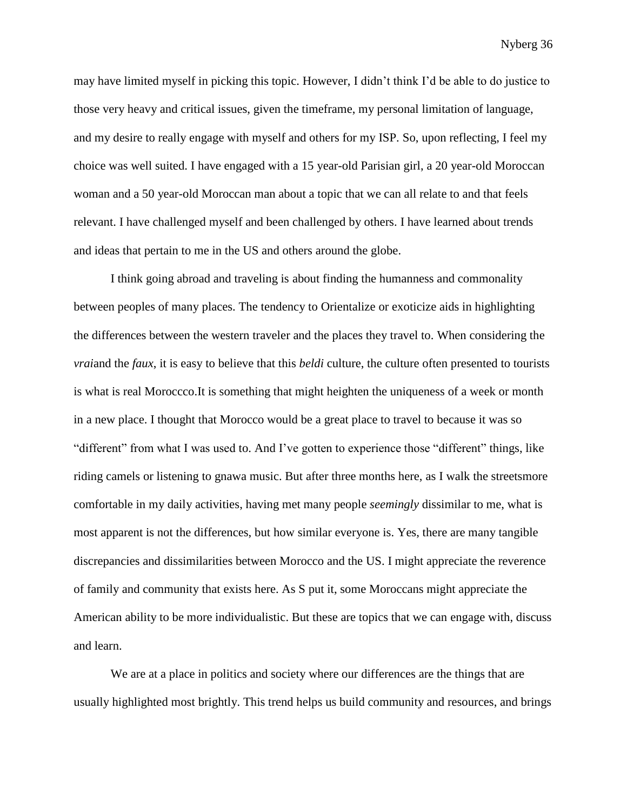may have limited myself in picking this topic. However, I didn't think I'd be able to do justice to those very heavy and critical issues, given the timeframe, my personal limitation of language, and my desire to really engage with myself and others for my ISP. So, upon reflecting, I feel my choice was well suited. I have engaged with a 15 year-old Parisian girl, a 20 year-old Moroccan woman and a 50 year-old Moroccan man about a topic that we can all relate to and that feels relevant. I have challenged myself and been challenged by others. I have learned about trends and ideas that pertain to me in the US and others around the globe.

I think going abroad and traveling is about finding the humanness and commonality between peoples of many places. The tendency to Orientalize or exoticize aids in highlighting the differences between the western traveler and the places they travel to. When considering the *vrai*and the *faux*, it is easy to believe that this *beldi* culture, the culture often presented to tourists is what is real Moroccco.It is something that might heighten the uniqueness of a week or month in a new place. I thought that Morocco would be a great place to travel to because it was so "different" from what I was used to. And I've gotten to experience those "different" things, like riding camels or listening to gnawa music. But after three months here, as I walk the streetsmore comfortable in my daily activities, having met many people *seemingly* dissimilar to me, what is most apparent is not the differences, but how similar everyone is. Yes, there are many tangible discrepancies and dissimilarities between Morocco and the US. I might appreciate the reverence of family and community that exists here. As S put it, some Moroccans might appreciate the American ability to be more individualistic. But these are topics that we can engage with, discuss and learn.

We are at a place in politics and society where our differences are the things that are usually highlighted most brightly. This trend helps us build community and resources, and brings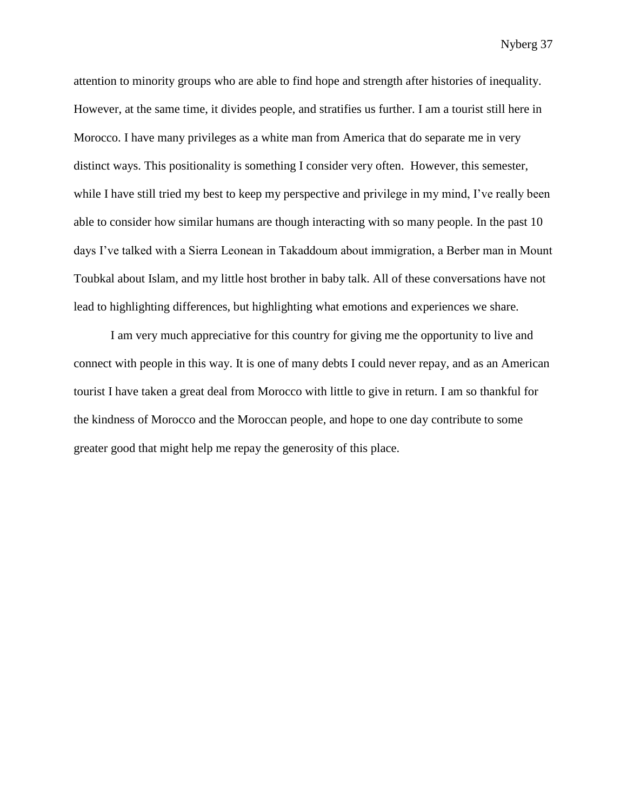attention to minority groups who are able to find hope and strength after histories of inequality. However, at the same time, it divides people, and stratifies us further. I am a tourist still here in Morocco. I have many privileges as a white man from America that do separate me in very distinct ways. This positionality is something I consider very often. However, this semester, while I have still tried my best to keep my perspective and privilege in my mind, I've really been able to consider how similar humans are though interacting with so many people. In the past 10 days I've talked with a Sierra Leonean in Takaddoum about immigration, a Berber man in Mount Toubkal about Islam, and my little host brother in baby talk. All of these conversations have not lead to highlighting differences, but highlighting what emotions and experiences we share.

I am very much appreciative for this country for giving me the opportunity to live and connect with people in this way. It is one of many debts I could never repay, and as an American tourist I have taken a great deal from Morocco with little to give in return. I am so thankful for the kindness of Morocco and the Moroccan people, and hope to one day contribute to some greater good that might help me repay the generosity of this place.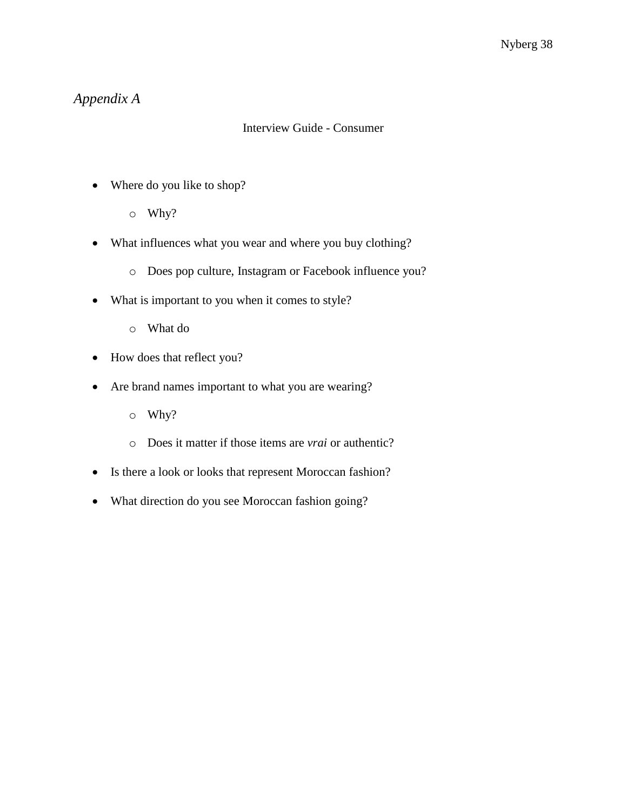# *Appendix A*

### Interview Guide - Consumer

- Where do you like to shop?
	- o Why?
- What influences what you wear and where you buy clothing?
	- o Does pop culture, Instagram or Facebook influence you?
- What is important to you when it comes to style?
	- o What do
- How does that reflect you?
- Are brand names important to what you are wearing?
	- o Why?
	- o Does it matter if those items are *vrai* or authentic?
- Is there a look or looks that represent Moroccan fashion?
- What direction do you see Moroccan fashion going?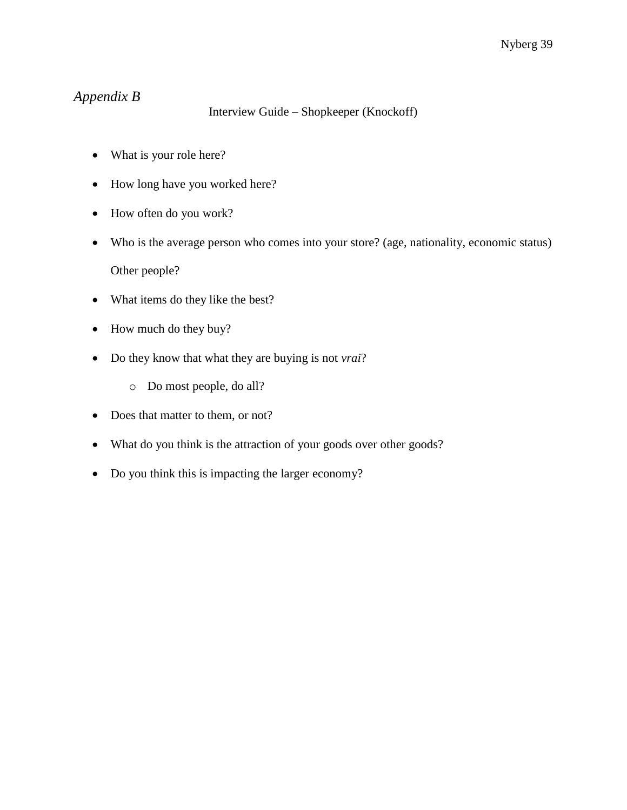# *Appendix B*

### Interview Guide – Shopkeeper (Knockoff)

- What is your role here?
- How long have you worked here?
- How often do you work?
- Who is the average person who comes into your store? (age, nationality, economic status) Other people?
- What items do they like the best?
- How much do they buy?
- Do they know that what they are buying is not *vrai*?
	- o Do most people, do all?
- Does that matter to them, or not?
- What do you think is the attraction of your goods over other goods?
- Do you think this is impacting the larger economy?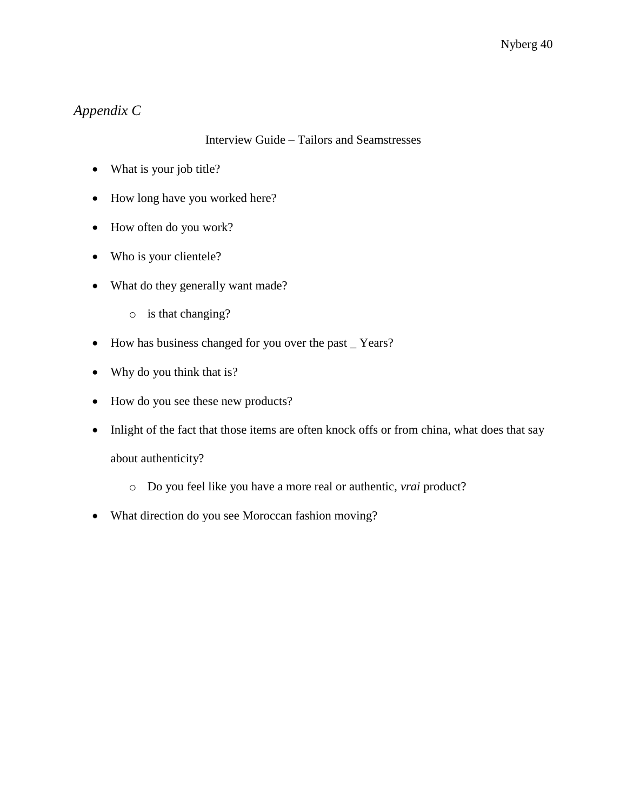# *Appendix C*

### Interview Guide – Tailors and Seamstresses

- What is your job title?
- How long have you worked here?
- How often do you work?
- Who is your clientele?
- What do they generally want made?
	- o is that changing?
- How has business changed for you over the past \_ Years?
- Why do you think that is?
- How do you see these new products?
- Inlight of the fact that those items are often knock offs or from china, what does that say about authenticity?
	- o Do you feel like you have a more real or authentic, *vrai* product?
- What direction do you see Moroccan fashion moving?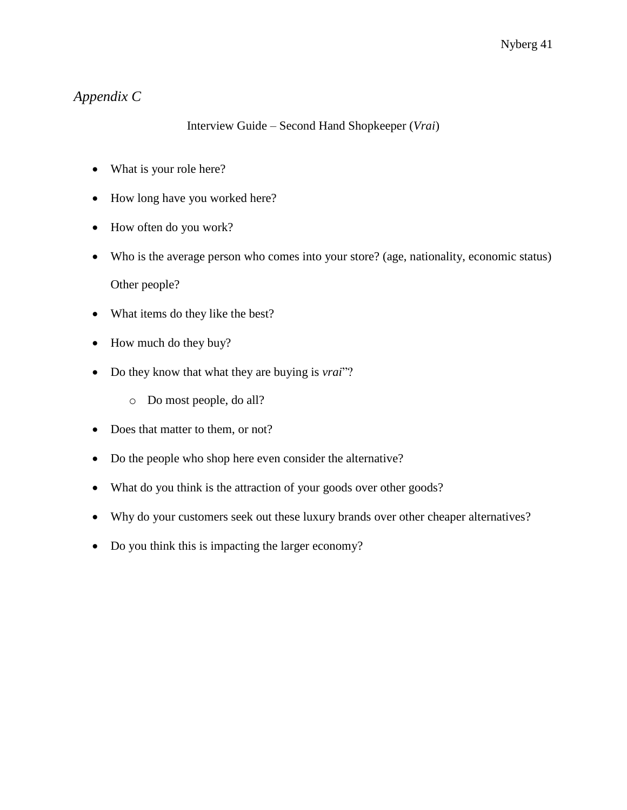# *Appendix C*

### Interview Guide – Second Hand Shopkeeper (*Vrai*)

- What is your role here?
- How long have you worked here?
- How often do you work?
- Who is the average person who comes into your store? (age, nationality, economic status) Other people?
- What items do they like the best?
- How much do they buy?
- Do they know that what they are buying is *vrai*"?
	- o Do most people, do all?
- Does that matter to them, or not?
- Do the people who shop here even consider the alternative?
- What do you think is the attraction of your goods over other goods?
- Why do your customers seek out these luxury brands over other cheaper alternatives?
- Do you think this is impacting the larger economy?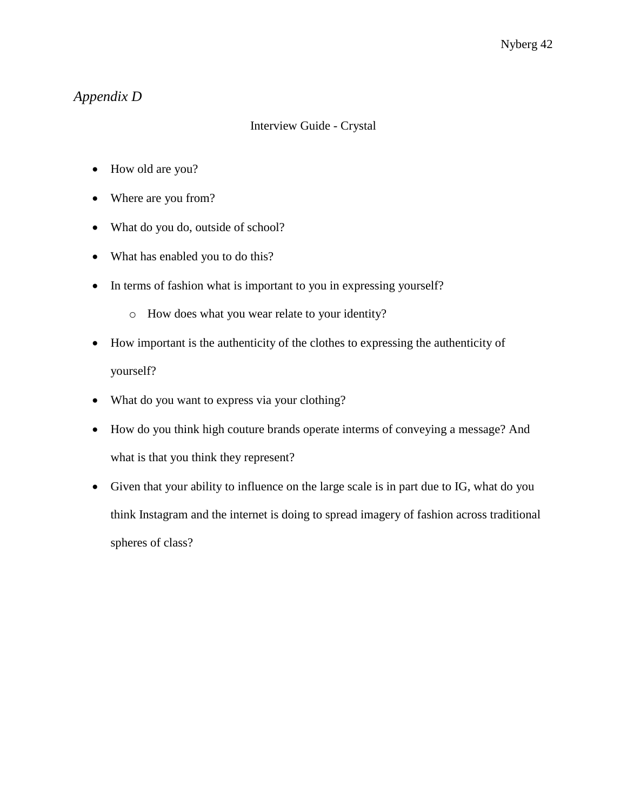# *Appendix D*

### Interview Guide - Crystal

- How old are you?
- Where are you from?
- What do you do, outside of school?
- What has enabled you to do this?
- In terms of fashion what is important to you in expressing yourself?
	- o How does what you wear relate to your identity?
- How important is the authenticity of the clothes to expressing the authenticity of yourself?
- What do you want to express via your clothing?
- How do you think high couture brands operate interms of conveying a message? And what is that you think they represent?
- Given that your ability to influence on the large scale is in part due to IG, what do you think Instagram and the internet is doing to spread imagery of fashion across traditional spheres of class?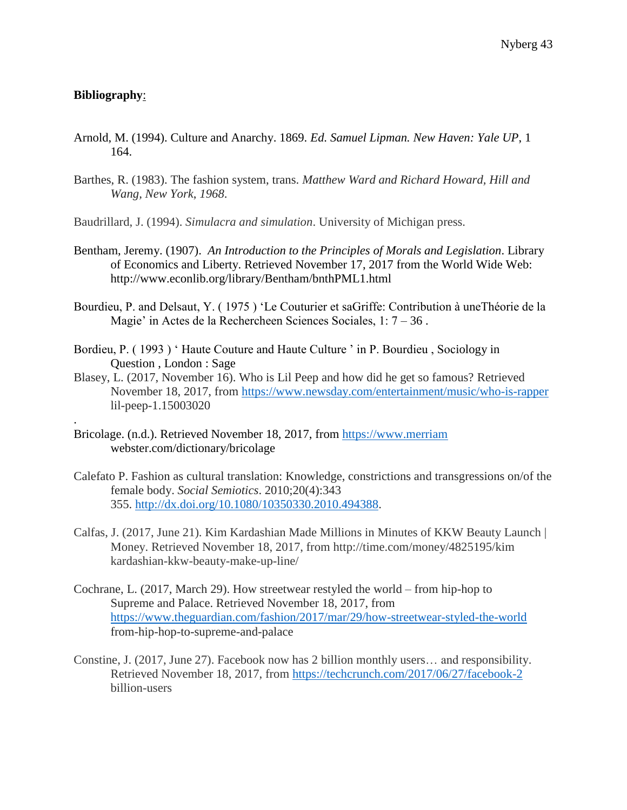### **Bibliography**:

.

- Arnold, M. (1994). Culture and Anarchy. 1869. *Ed. Samuel Lipman. New Haven: Yale UP*, 1 164.
- Barthes, R. (1983). The fashion system, trans. *Matthew Ward and Richard Howard, Hill and Wang, New York*, *1968*.
- Baudrillard, J. (1994). *Simulacra and simulation*. University of Michigan press.
- Bentham, Jeremy. (1907). *An Introduction to the Principles of Morals and Legislation*. Library of Economics and Liberty. Retrieved November 17, 2017 from the World Wide Web: http://www.econlib.org/library/Bentham/bnthPML1.html
- Bourdieu, P. and Delsaut, Y. ( 1975 ) 'Le Couturier et saGriffe: Contribution à uneThéorie de la Magie' in Actes de la Rechercheen Sciences Sociales, 1: 7 – 36 .
- Bordieu, P. (1993) 'Haute Couture and Haute Culture ' in P. Bourdieu, Sociology in Question , London : Sage
- Blasey, L. (2017, November 16). Who is Lil Peep and how did he get so famous? Retrieved November 18, 2017, from<https://www.newsday.com/entertainment/music/who-is-rapper> lil-peep-1.15003020
- Bricolage. (n.d.). Retrieved November 18, 2017, from [https://www.merriam](https://www.merriam/) webster.com/dictionary/bricolage
- Calefato P. Fashion as cultural translation: Knowledge, constrictions and transgressions on/of the female body. *Social Semiotics*. 2010;20(4):343 355. [http://dx.doi.org/10.1080/10350330.2010.494388.](http://dx.doi.org/10.1080/10350330.2010.494388)
- Calfas, J. (2017, June 21). Kim Kardashian Made Millions in Minutes of KKW Beauty Launch | Money. Retrieved November 18, 2017, from http://time.com/money/4825195/kim kardashian-kkw-beauty-make-up-line/
- Cochrane, L. (2017, March 29). How streetwear restyled the world from hip-hop to Supreme and Palace. Retrieved November 18, 2017, from <https://www.theguardian.com/fashion/2017/mar/29/how-streetwear-styled-the-world> from-hip-hop-to-supreme-and-palace
- Constine, J. (2017, June 27). Facebook now has 2 billion monthly users… and responsibility. Retrieved November 18, 2017, from<https://techcrunch.com/2017/06/27/facebook-2> billion-users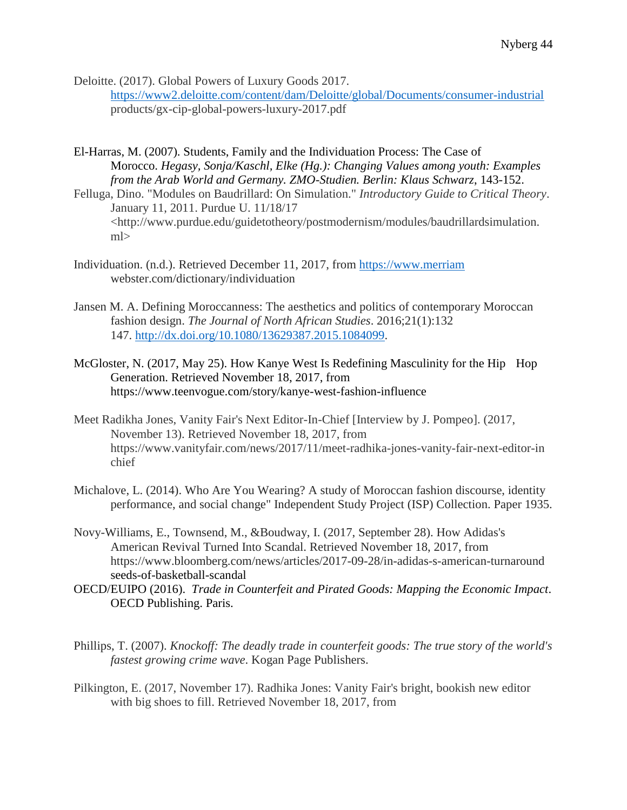Deloitte. (2017). Global Powers of Luxury Goods 2017.

<https://www2.deloitte.com/content/dam/Deloitte/global/Documents/consumer-industrial> products/gx-cip-global-powers-luxury-2017.pdf

El-Harras, M. (2007). Students, Family and the Individuation Process: The Case of Morocco. *Hegasy, Sonja/Kaschl, Elke (Hg.): Changing Values among youth: Examples from the Arab World and Germany. ZMO-Studien. Berlin: Klaus Schwarz*, 143-152.

Felluga, Dino. "Modules on Baudrillard: On Simulation." *Introductory Guide to Critical Theory*. January 11, 2011. Purdue U. 11/18/17 <http://www.purdue.edu/guidetotheory/postmodernism/modules/baudrillardsimulation. ml>

- Individuation. (n.d.). Retrieved December 11, 2017, from [https://www.merriam](https://www.merriam/) webster.com/dictionary/individuation
- Jansen M. A. Defining Moroccanness: The aesthetics and politics of contemporary Moroccan fashion design. *The Journal of North African Studies*. 2016;21(1):132 147. [http://dx.doi.org/10.1080/13629387.2015.1084099.](http://dx.doi.org/10.1080/13629387.2015.1084099)
- McGloster, N. (2017, May 25). How Kanye West Is Redefining Masculinity for the Hip Hop Generation. Retrieved November 18, 2017, from https://www.teenvogue.com/story/kanye-west-fashion-influence
- Meet Radikha Jones, Vanity Fair's Next Editor-In-Chief [Interview by J. Pompeo]. (2017, November 13). Retrieved November 18, 2017, from https://www.vanityfair.com/news/2017/11/meet-radhika-jones-vanity-fair-next-editor-in chief
- Michalove, L. (2014). Who Are You Wearing? A study of Moroccan fashion discourse, identity performance, and social change" Independent Study Project (ISP) Collection. Paper 1935.
- Novy-Williams, E., Townsend, M., &Boudway, I. (2017, September 28). How Adidas's American Revival Turned Into Scandal. Retrieved November 18, 2017, from https://www.bloomberg.com/news/articles/2017-09-28/in-adidas-s-american-turnaround seeds-of-basketball-scandal
- OECD/EUIPO (2016). *Trade in Counterfeit and Pirated Goods: Mapping the Economic Impact*. OECD Publishing. Paris.
- Phillips, T. (2007). *Knockoff: The deadly trade in counterfeit goods: The true story of the world's fastest growing crime wave*. Kogan Page Publishers.
- Pilkington, E. (2017, November 17). Radhika Jones: Vanity Fair's bright, bookish new editor with big shoes to fill. Retrieved November 18, 2017, from